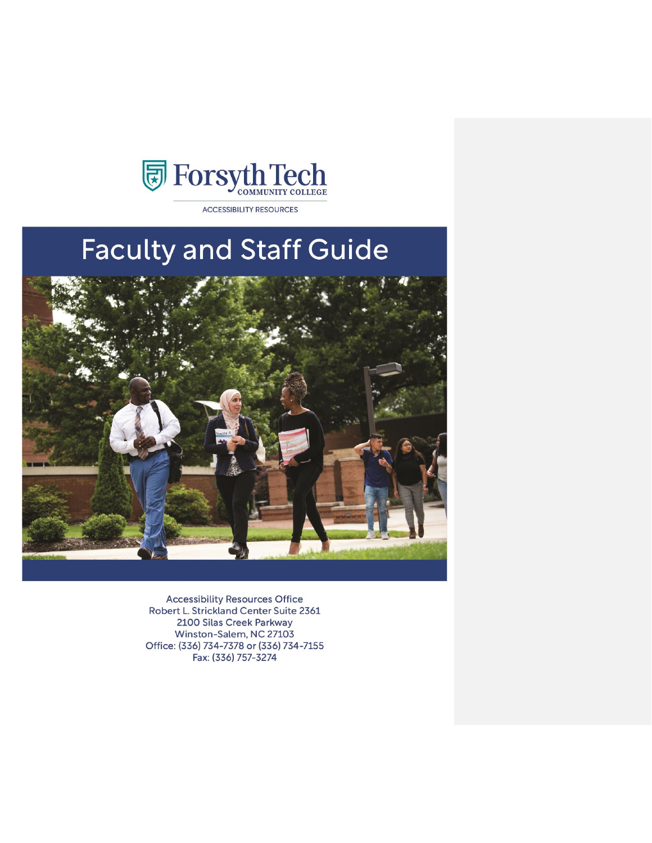

**ACCESSIBILITY RESOURCES** 

# **Faculty and Staff Guide**



**Accessibility Resources Office** Robert L. Strickland Center Suite 2361 2100 Silas Creek Parkway Winston-Salem, NC 27103 Office: (336) 734-7378 or (336) 734-7155 Fax: (336) 757-3274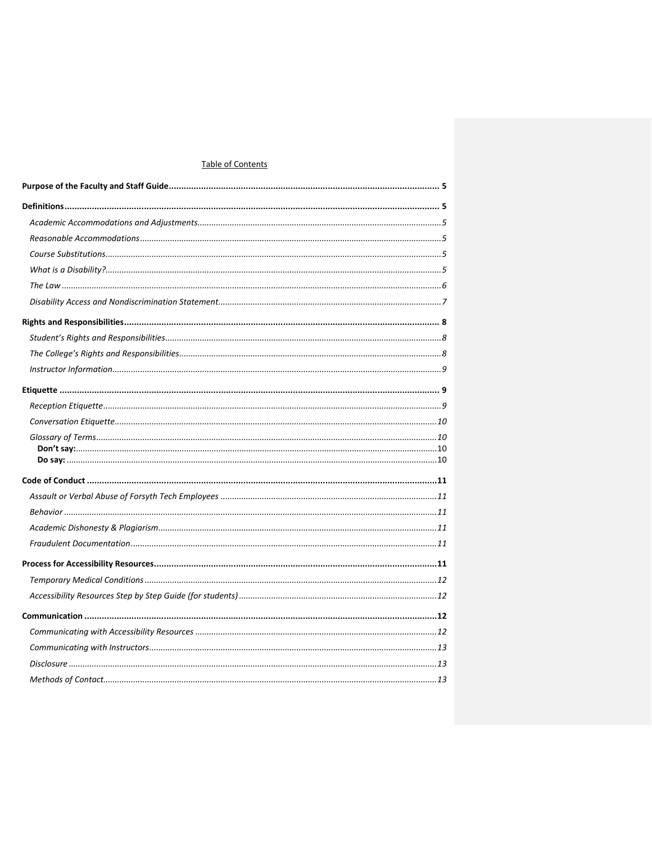# Table of Contents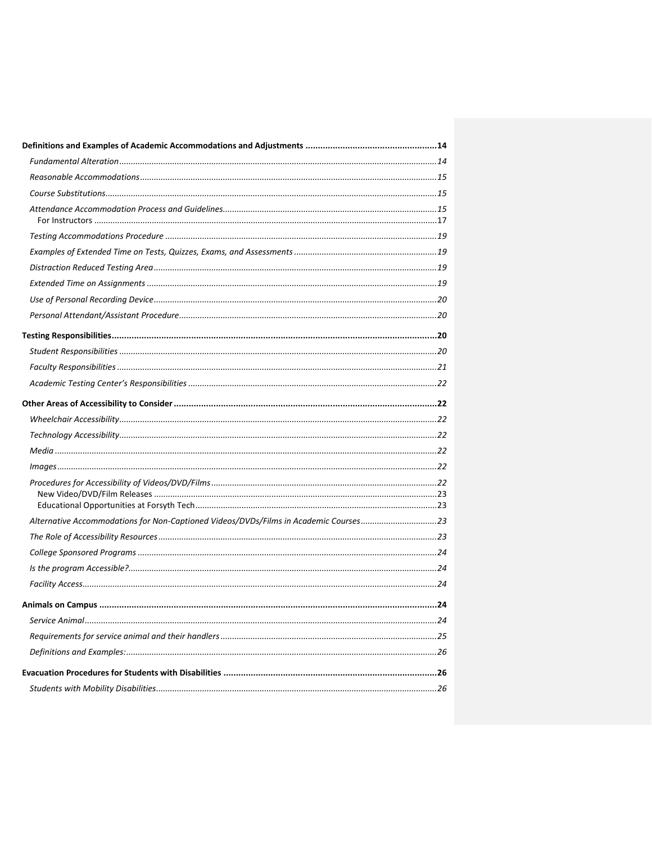| Alternative Accommodations for Non-Captioned Videos/DVDs/Films in Academic Courses23 |  |
|--------------------------------------------------------------------------------------|--|
|                                                                                      |  |
|                                                                                      |  |
|                                                                                      |  |
|                                                                                      |  |
|                                                                                      |  |
|                                                                                      |  |
|                                                                                      |  |
|                                                                                      |  |
|                                                                                      |  |
|                                                                                      |  |
|                                                                                      |  |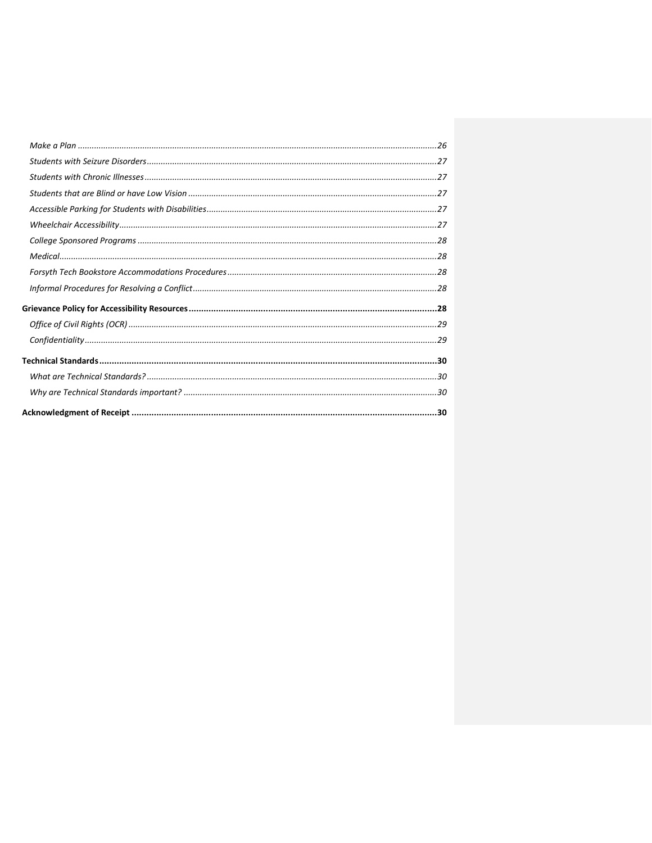| $\label{thm:main} \textit{Confidentiality} \textit{} \textit{} \textit{} \textit{} \textit{} \textit{} \textit{} \textit{} \textit{} \textit{} \textit{} \textit{} \textit{} \textit{} \textit{} \textit{} \textit{} \textit{} \textit{} \textit{} \textit{} \textit{} \textit{} \textit{} \textit{} \textit{} \textit{} \textit{} \textit{} \textit{} \textit{} \textit{} \textit{} \textit{}$ |  |
|-------------------------------------------------------------------------------------------------------------------------------------------------------------------------------------------------------------------------------------------------------------------------------------------------------------------------------------------------------------------------------------------------|--|
|                                                                                                                                                                                                                                                                                                                                                                                                 |  |
|                                                                                                                                                                                                                                                                                                                                                                                                 |  |
|                                                                                                                                                                                                                                                                                                                                                                                                 |  |
|                                                                                                                                                                                                                                                                                                                                                                                                 |  |
|                                                                                                                                                                                                                                                                                                                                                                                                 |  |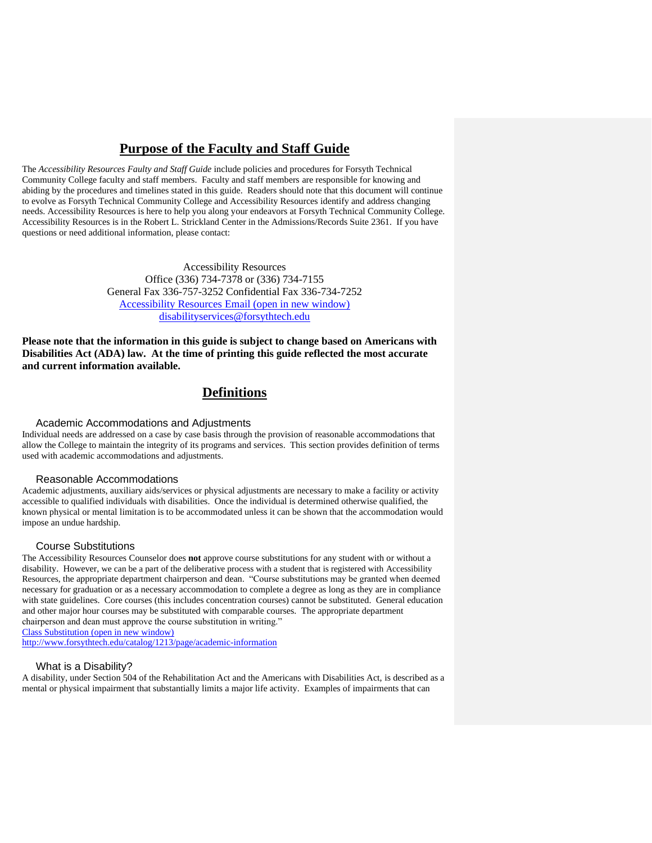# **Purpose of the Faculty and Staff Guide**

<span id="page-4-0"></span>The *Accessibility Resources Faulty and Staff Guide* include policies and procedures for Forsyth Technical Community College faculty and staff members. Faculty and staff members are responsible for knowing and abiding by the procedures and timelines stated in this guide. Readers should note that this document will continue to evolve as Forsyth Technical Community College and Accessibility Resources identify and address changing needs. Accessibility Resources is here to help you along your endeavors at Forsyth Technical Community College. Accessibility Resources is in the Robert L. Strickland Center in the Admissions/Records Suite 2361. If you have questions or need additional information, please contact:

> Accessibility Resources Office (336) 734-7378 or (336) 734-7155 General Fax 336-757-3252 Confidential Fax 336-734-7252 [Accessibility Resources](mailto:disabilityservices@forsythtech.edu) Email (open in new window) disabilityservices@forsythtech.edu

**Please note that the information in this guide is subject to change based on Americans with Disabilities Act (ADA) law. At the time of printing this guide reflected the most accurate and current information available.**

# **Definitions**

#### <span id="page-4-1"></span>Academic Accommodations and Adjustments

<span id="page-4-2"></span>Individual needs are addressed on a case by case basis through the provision of reasonable accommodations that allow the College to maintain the integrity of its programs and services. This section provides definition of terms used with academic accommodations and adjustments.

#### <span id="page-4-3"></span>Reasonable Accommodations

Academic adjustments, auxiliary aids/services or physical adjustments are necessary to make a facility or activity accessible to qualified individuals with disabilities. Once the individual is determined otherwise qualified, the known physical or mental limitation is to be accommodated unless it can be shown that the accommodation would impose an undue hardship.

#### Course Substitutions

<span id="page-4-4"></span>The Accessibility Resources Counselor does **not** approve course substitutions for any student with or without a disability. However, we can be a part of the deliberative process with a student that is registered with Accessibility Resources, the appropriate department chairperson and dean. "Course substitutions may be granted when deemed necessary for graduation or as a necessary accommodation to complete a degree as long as they are in compliance with state guidelines. Core courses (this includes concentration courses) cannot be substituted. General education and other major hour courses may be substituted with comparable courses. The appropriate department chairperson and dean must approve the course substitution in writing."

[Class Substitution](http://www.forsythtech.edu/catalog/1212/page/academic-information) (open in new window)

http://www.forsythtech.edu/catalog/1213/page/academic-information

## What is a Disability?

<span id="page-4-5"></span>A disability, under Section 504 of the Rehabilitation Act and the Americans with Disabilities Act, is described as a mental or physical impairment that substantially limits a major life activity. Examples of impairments that can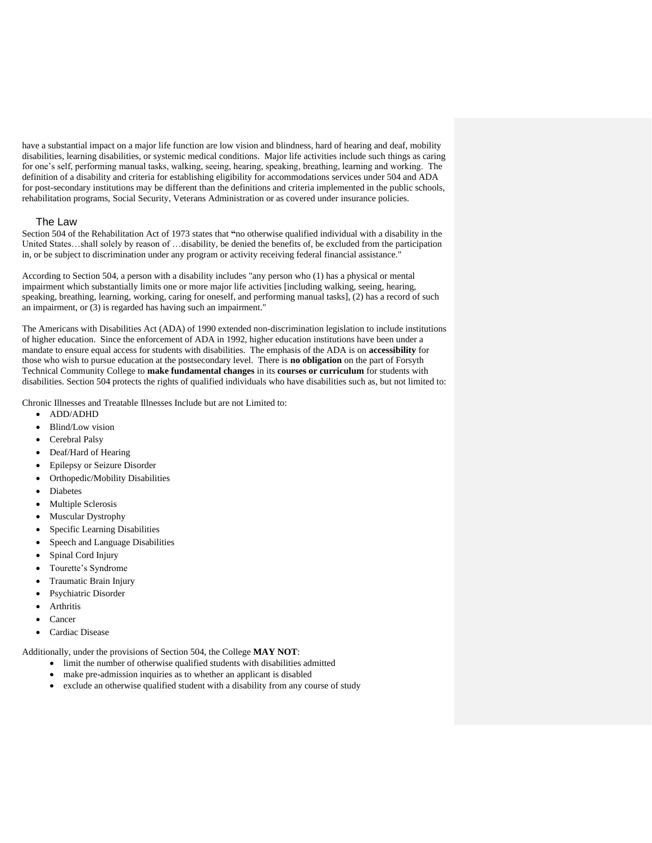have a substantial impact on a major life function are low vision and blindness, hard of hearing and deaf, mobility disabilities, learning disabilities, or systemic medical conditions. Major life activities include such things as caring for one's self, performing manual tasks, walking, seeing, hearing, speaking, breathing, learning and working.The definition of a disability and criteria for establishing eligibility for accommodations services under 504 and ADA for post-secondary institutions may be different than the definitions and criteria implemented in the public schools, rehabilitation programs, Social Security, Veterans Administration or as covered under insurance policies.

## The Law

<span id="page-5-0"></span>Section 504 of the Rehabilitation Act of 1973 states that **"**no otherwise qualified individual with a disability in the United States…shall solely by reason of …disability, be denied the benefits of, be excluded from the participation in, or be subject to discrimination under any program or activity receiving federal financial assistance."

According to Section 504, a person with a disability includes "any person who (1) has a physical or mental impairment which substantially limits one or more major life activities [including walking, seeing, hearing, speaking, breathing, learning, working, caring for oneself, and performing manual tasks], (2) has a record of such an impairment, or (3) is regarded has having such an impairment."

The Americans with Disabilities Act (ADA) of 1990 extended non-discrimination legislation to include institutions of higher education. Since the enforcement of ADA in 1992, higher education institutions have been under a mandate to ensure equal access for students with disabilities. The emphasis of the ADA is on **accessibility** for those who wish to pursue education at the postsecondary level. There is **no obligation** on the part of Forsyth Technical Community College to **make fundamental changes** in its **courses or curriculum** for students with disabilities. Section 504 protects the rights of qualified individuals who have disabilities such as, but not limited to:

Chronic Illnesses and Treatable Illnesses Include but are not Limited to:

- ADD/ADHD
- Blind/Low vision
- Cerebral Palsy
- Deaf/Hard of Hearing
- Epilepsy or Seizure Disorder
- Orthopedic/Mobility Disabilities
- **Diabetes**
- Multiple Sclerosis
- Muscular Dystrophy
- Specific Learning Disabilities
- Speech and Language Disabilities
- Spinal Cord Injury
- Tourette's Syndrome
- Traumatic Brain Injury
- Psychiatric Disorder
- **Arthritis**
- Cancer
- Cardiac Disease

Additionally, under the provisions of Section 504, the College **MAY NOT**:

- limit the number of otherwise qualified students with disabilities admitted
- make pre-admission inquiries as to whether an applicant is disabled
- exclude an otherwise qualified student with a disability from any course of study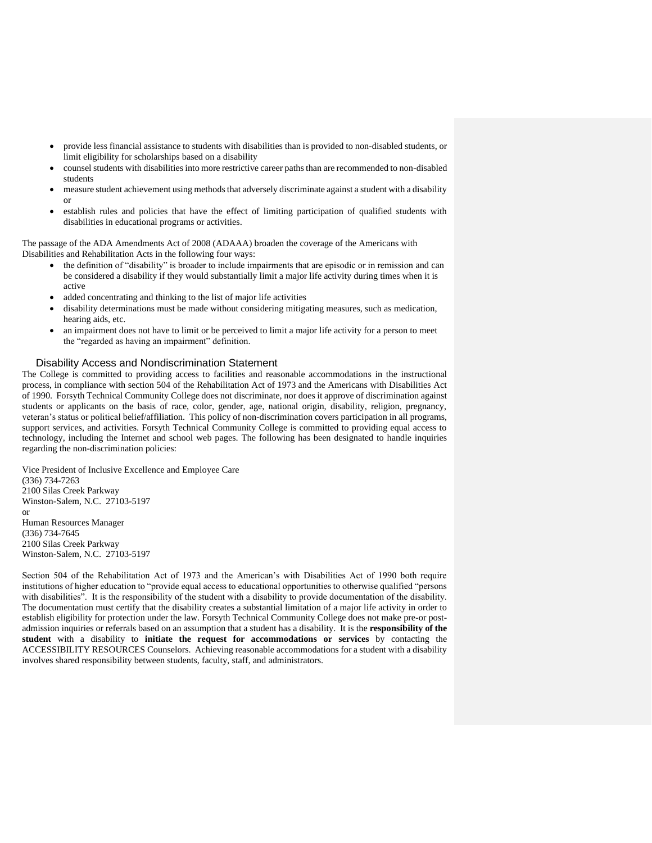- provide less financial assistance to students with disabilities than is provided to non-disabled students, or limit eligibility for scholarships based on a disability
- counsel students with disabilities into more restrictive career paths than are recommended to non-disabled students
- measure student achievement using methods that adversely discriminate against a student with a disability or
- establish rules and policies that have the effect of limiting participation of qualified students with disabilities in educational programs or activities.

The passage of the ADA Amendments Act of 2008 (ADAAA) broaden the coverage of the Americans with Disabilities and Rehabilitation Acts in the following four ways:

- the definition of "disability" is broader to include impairments that are episodic or in remission and can be considered a disability if they would substantially limit a major life activity during times when it is active
- added concentrating and thinking to the list of major life activities
- disability determinations must be made without considering mitigating measures, such as medication, hearing aids, etc.
- an impairment does not have to limit or be perceived to limit a major life activity for a person to meet the "regarded as having an impairment" definition.

#### Disability Access and Nondiscrimination Statement

<span id="page-6-0"></span>The College is committed to providing access to facilities and reasonable accommodations in the instructional process, in compliance with section 504 of the Rehabilitation Act of 1973 and the Americans with Disabilities Act of 1990. Forsyth Technical Community College does not discriminate, nor does it approve of discrimination against students or applicants on the basis of race, color, gender, age, national origin, disability, religion, pregnancy, veteran's status or political belief/affiliation. This policy of non-discrimination covers participation in all programs, support services, and activities. Forsyth Technical Community College is committed to providing equal access to technology, including the Internet and school web pages. The following has been designated to handle inquiries regarding the non-discrimination policies:

Vice President of Inclusive Excellence and Employee Care (336) 734-7263 2100 Silas Creek Parkway Winston-Salem, N.C. 27103-5197 or Human Resources Manager (336) 734-7645 2100 Silas Creek Parkway Winston-Salem, N.C. 27103-5197

Section 504 of the Rehabilitation Act of 1973 and the American's with Disabilities Act of 1990 both require institutions of higher education to "provide equal access to educational opportunities to otherwise qualified "persons with disabilities". It is the responsibility of the student with a disability to provide documentation of the disability. The documentation must certify that the disability creates a substantial limitation of a major life activity in order to establish eligibility for protection under the law. Forsyth Technical Community College does not make pre-or postadmission inquiries or referrals based on an assumption that a student has a disability. It is the **responsibility of the student** with a disability to **initiate the request for accommodations or services** by contacting the ACCESSIBILITY RESOURCES Counselors. Achieving reasonable accommodations for a student with a disability involves shared responsibility between students, faculty, staff, and administrators.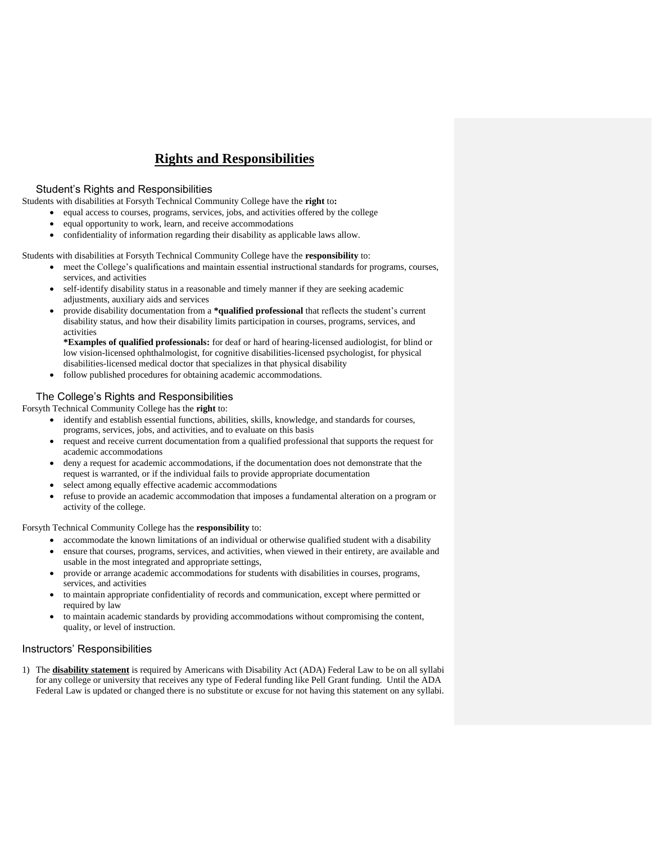# **Rights and Responsibilities**

## <span id="page-7-0"></span>Student's Rights and Responsibilities

<span id="page-7-1"></span>Students with disabilities at Forsyth Technical Community College have the **right** to**:**

- equal access to courses, programs, services, jobs, and activities offered by the college
- equal opportunity to work, learn, and receive accommodations
- confidentiality of information regarding their disability as applicable laws allow.

Students with disabilities at Forsyth Technical Community College have the **responsibility** to:

- meet the College's qualifications and maintain essential instructional standards for programs, courses, services, and activities
- self-identify disability status in a reasonable and timely manner if they are seeking academic adjustments, auxiliary aids and services
- provide disability documentation from a **\*qualified professional** that reflects the student's current disability status, and how their disability limits participation in courses, programs, services, and activities

**\*Examples of qualified professionals:** for deaf or hard of hearing-licensed audiologist, for blind or low vision-licensed ophthalmologist, for cognitive disabilities-licensed psychologist, for physical disabilities-licensed medical doctor that specializes in that physical disability

• follow published procedures for obtaining academic accommodations.

# <span id="page-7-2"></span>The College's Rights and Responsibilities

Forsyth Technical Community College has the **right** to:

- identify and establish essential functions, abilities, skills, knowledge, and standards for courses, programs, services, jobs, and activities, and to evaluate on this basis
- request and receive current documentation from a qualified professional that supports the request for academic accommodations
- deny a request for academic accommodations, if the documentation does not demonstrate that the request is warranted, or if the individual fails to provide appropriate documentation
- select among equally effective academic accommodations
- refuse to provide an academic accommodation that imposes a fundamental alteration on a program or activity of the college.

Forsyth Technical Community College has the **responsibility** to:

- accommodate the known limitations of an individual or otherwise qualified student with a disability • ensure that courses, programs, services, and activities, when viewed in their entirety, are available and usable in the most integrated and appropriate settings,
- provide or arrange academic accommodations for students with disabilities in courses, programs, services, and activities
- to maintain appropriate confidentiality of records and communication, except where permitted or required by law
- to maintain academic standards by providing accommodations without compromising the content, quality, or level of instruction.

## Instructors' Responsibilities

1) The **disability statement** is required by Americans with Disability Act (ADA) Federal Law to be on all syllabi for any college or university that receives any type of Federal funding like Pell Grant funding. Until the ADA Federal Law is updated or changed there is no substitute or excuse for not having this statement on any syllabi.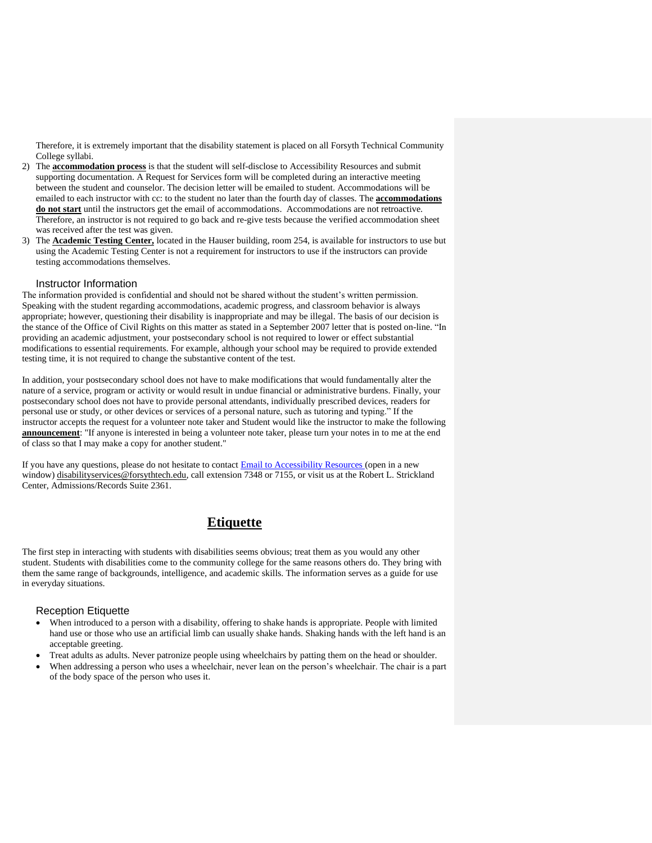Therefore, it is extremely important that the disability statement is placed on all Forsyth Technical Community College syllabi.

- 2) The **accommodation process** is that the student will self-disclose to Accessibility Resources and submit supporting documentation. A Request for Services form will be completed during an interactive meeting between the student and counselor. The decision letter will be emailed to student. Accommodations will be emailed to each instructor with cc: to the student no later than the fourth day of classes. The **accommodations do not start** until the instructors get the email of accommodations. Accommodations are not retroactive. Therefore, an instructor is not required to go back and re-give tests because the verified accommodation sheet was received after the test was given.
- 3) The **Academic Testing Center,** located in the Hauser building, room 254, is available for instructors to use but using the Academic Testing Center is not a requirement for instructors to use if the instructors can provide testing accommodations themselves.

#### Instructor Information

<span id="page-8-0"></span>The information provided is confidential and should not be shared without the student's written permission. Speaking with the student regarding accommodations, academic progress, and classroom behavior is always appropriate; however, questioning their disability is inappropriate and may be illegal. The basis of our decision is the stance of the Office of Civil Rights on this matter as stated in a September 2007 letter that is posted on-line. "In providing an academic adjustment, your postsecondary school is not required to lower or effect substantial modifications to essential requirements. For example, although your school may be required to provide extended testing time, it is not required to change the substantive content of the test.

In addition, your postsecondary school does not have to make modifications that would fundamentally alter the nature of a service, program or activity or would result in undue financial or administrative burdens. Finally, your postsecondary school does not have to provide personal attendants, individually prescribed devices, readers for personal use or study, or other devices or services of a personal nature, such as tutoring and typing." If the instructor accepts the request for a volunteer note taker and Student would like the instructor to make the following **announcement**: "If anyone is interested in being a volunteer note taker, please turn your notes in to me at the end of class so that I may make a copy for another student."

If you have any questions, please do not hesitate to contact [Email to Accessibility Resources](mailto:disabilityservices@forsythtech.edu) (open in a new window) [disabilityservices@forsythtech.edu,](mailto:disabilityservices@forsythtech.edu) call extension 7348 or 7155, or visit us at the Robert L. Strickland Center, Admissions/Records Suite 2361.

# **Etiquette**

<span id="page-8-1"></span>The first step in interacting with students with disabilities seems obvious; treat them as you would any other student. Students with disabilities come to the community college for the same reasons others do. They bring with them the same range of backgrounds, intelligence, and academic skills. The information serves as a guide for use in everyday situations.

#### <span id="page-8-2"></span>Reception Etiquette

- When introduced to a person with a disability, offering to shake hands is appropriate. People with limited hand use or those who use an artificial limb can usually shake hands. Shaking hands with the left hand is an acceptable greeting.
- Treat adults as adults. Never patronize people using wheelchairs by patting them on the head or shoulder.
- When addressing a person who uses a wheelchair, never lean on the person's wheelchair. The chair is a part of the body space of the person who uses it.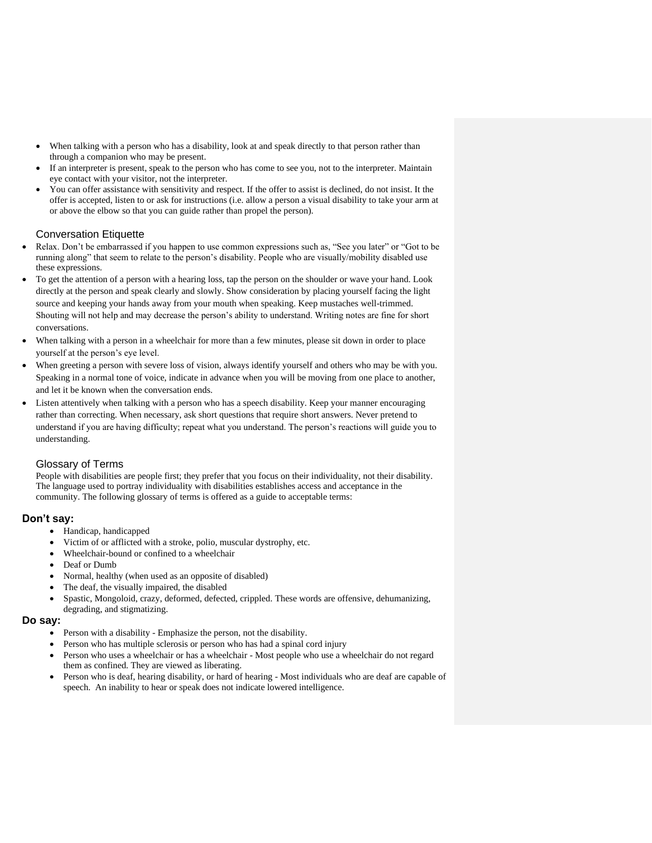- When talking with a person who has a disability, look at and speak directly to that person rather than through a companion who may be present.
- If an interpreter is present, speak to the person who has come to see you, not to the interpreter. Maintain eye contact with your visitor, not the interpreter.
- You can offer assistance with sensitivity and respect. If the offer to assist is declined, do not insist. It the offer is accepted, listen to or ask for instructions (i.e. allow a person a visual disability to take your arm at or above the elbow so that you can guide rather than propel the person).

# Conversation Etiquette

- <span id="page-9-0"></span>• Relax. Don't be embarrassed if you happen to use common expressions such as, "See you later" or "Got to be running along" that seem to relate to the person's disability. People who are visually/mobility disabled use these expressions.
- To get the attention of a person with a hearing loss, tap the person on the shoulder or wave your hand. Look directly at the person and speak clearly and slowly. Show consideration by placing yourself facing the light source and keeping your hands away from your mouth when speaking. Keep mustaches well-trimmed. Shouting will not help and may decrease the person's ability to understand. Writing notes are fine for short conversations.
- When talking with a person in a wheelchair for more than a few minutes, please sit down in order to place yourself at the person's eye level.
- When greeting a person with severe loss of vision, always identify yourself and others who may be with you. Speaking in a normal tone of voice, indicate in advance when you will be moving from one place to another, and let it be known when the conversation ends.
- Listen attentively when talking with a person who has a speech disability. Keep your manner encouraging rather than correcting. When necessary, ask short questions that require short answers. Never pretend to understand if you are having difficulty; repeat what you understand. The person's reactions will guide you to understanding.

## <span id="page-9-1"></span>Glossary of Terms

People with disabilities are people first; they prefer that you focus on their individuality, not their disability. The language used to portray individuality with disabilities establishes access and acceptance in the community. The following glossary of terms is offered as a guide to acceptable terms:

## <span id="page-9-2"></span>**Don't say:**

- Handicap, handicapped
- Victim of or afflicted with a stroke, polio, muscular dystrophy, etc.
- Wheelchair-bound or confined to a wheelchair
- Deaf or Dumb
- Normal, healthy (when used as an opposite of disabled)
- The deaf, the visually impaired, the disabled
- Spastic, Mongoloid, crazy, deformed, defected, crippled. These words are offensive, dehumanizing, degrading, and stigmatizing.

## <span id="page-9-3"></span>**Do say:**

- Person with a disability Emphasize the person, not the disability.
- Person who has multiple sclerosis or person who has had a spinal cord injury
- Person who uses a wheelchair or has a wheelchair Most people who use a wheelchair do not regard them as confined. They are viewed as liberating.
- Person who is deaf, hearing disability, or hard of hearing Most individuals who are deaf are capable of speech. An inability to hear or speak does not indicate lowered intelligence.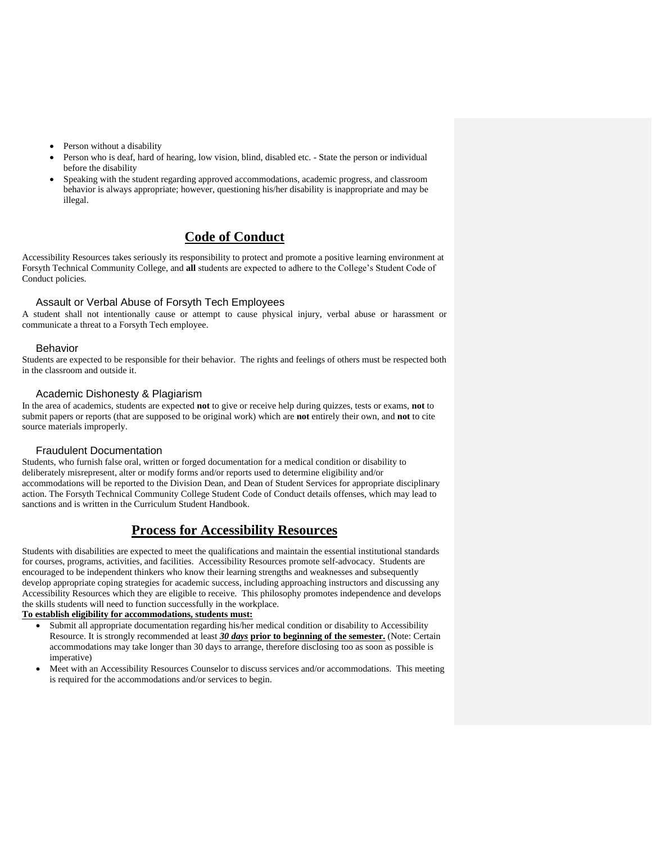- Person without a disability
- Person who is deaf, hard of hearing, low vision, blind, disabled etc. State the person or individual before the disability
- Speaking with the student regarding approved accommodations, academic progress, and classroom behavior is always appropriate; however, questioning his/her disability is inappropriate and may be illegal.

# **Code of Conduct**

<span id="page-10-0"></span>Accessibility Resources takes seriously its responsibility to protect and promote a positive learning environment at Forsyth Technical Community College, and **all** students are expected to adhere to the College's Student Code of Conduct policies.

# Assault or Verbal Abuse of Forsyth Tech Employees

<span id="page-10-1"></span>A student shall not intentionally cause or attempt to cause physical injury, verbal abuse or harassment or communicate a threat to a Forsyth Tech employee.

#### Behavior

<span id="page-10-2"></span>Students are expected to be responsible for their behavior. The rights and feelings of others must be respected both in the classroom and outside it.

## Academic Dishonesty & Plagiarism

<span id="page-10-3"></span>In the area of academics, students are expected **not** to give or receive help during quizzes, tests or exams, **not** to submit papers or reports (that are supposed to be original work) which are **not** entirely their own, and **not** to cite source materials improperly.

## Fraudulent Documentation

<span id="page-10-4"></span>Students, who furnish false oral, written or forged documentation for a medical condition or disability to deliberately misrepresent, alter or modify forms and/or reports used to determine eligibility and/or accommodations will be reported to the Division Dean, and Dean of Student Services for appropriate disciplinary action. The Forsyth Technical Community College Student Code of Conduct details offenses, which may lead to sanctions and is written in the Curriculum Student Handbook.

# **Process for Accessibility Resources**

<span id="page-10-5"></span>Students with disabilities are expected to meet the qualifications and maintain the essential institutional standards for courses, programs, activities, and facilities. Accessibility Resources promote self-advocacy. Students are encouraged to be independent thinkers who know their learning strengths and weaknesses and subsequently develop appropriate coping strategies for academic success, including approaching instructors and discussing any Accessibility Resources which they are eligible to receive. This philosophy promotes independence and develops the skills students will need to function successfully in the workplace.

# **To establish eligibility for accommodations, students must:**

- Submit all appropriate documentation regarding his/her medical condition or disability to Accessibility Resource. It is strongly recommended at least *30 days* **prior to beginning of the semester.** (Note: Certain accommodations may take longer than 30 days to arrange, therefore disclosing too as soon as possible is imperative)
- Meet with an Accessibility Resources Counselor to discuss services and/or accommodations. This meeting is required for the accommodations and/or services to begin.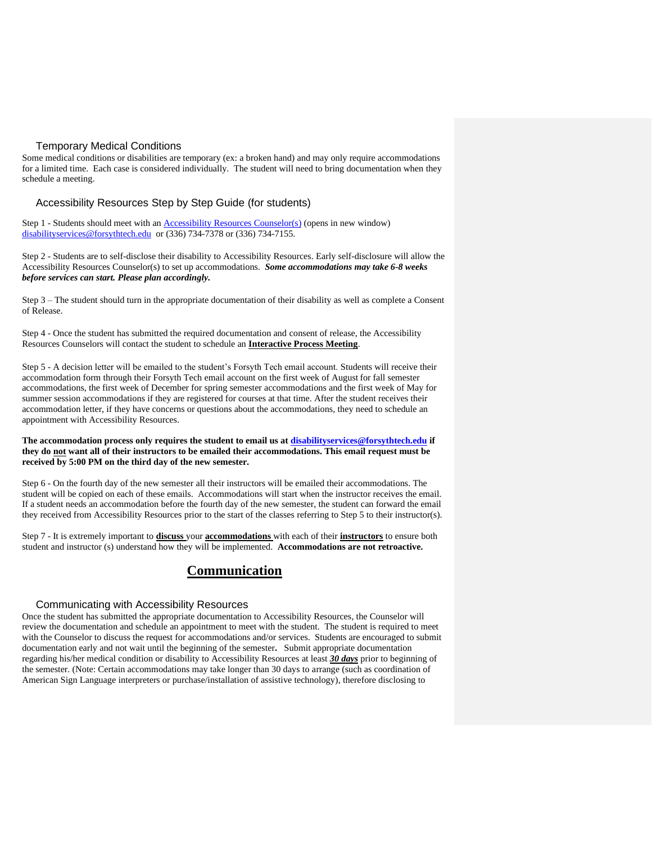# Temporary Medical Conditions

<span id="page-11-0"></span>Some medical conditions or disabilities are temporary (ex: a broken hand) and may only require accommodations for a limited time. Each case is considered individually. The student will need to bring documentation when they schedule a meeting.

<span id="page-11-1"></span>Accessibility Resources Step by Step Guide (for students)

Step 1 - Students should meet with an **[Accessibility Resources](mailto:disabilityservices@forsythtech.edu) Counselor(s)** (opens in new window) [disabilityservices@forsythtech.edu](mailto:disabilityservices@forsythtech.edu) or (336) 734-7378 or (336) 734-7155.

Step 2 - Students are to self-disclose their disability to Accessibility Resources. Early self-disclosure will allow the Accessibility Resources Counselor(s) to set up accommodations. *Some accommodations may take 6-8 weeks before services can start. Please plan accordingly.*

Step 3 – The student should turn in the appropriate documentation of their disability as well as complete a Consent of Release.

Step 4 - Once the student has submitted the required documentation and consent of release, the Accessibility Resources Counselors will contact the student to schedule an **Interactive Process Meeting**.

Step 5 - A decision letter will be emailed to the student's Forsyth Tech email account. Students will receive their accommodation form through their Forsyth Tech email account on the first week of August for fall semester accommodations, the first week of December for spring semester accommodations and the first week of May for summer session accommodations if they are registered for courses at that time. After the student receives their accommodation letter, if they have concerns or questions about the accommodations, they need to schedule an appointment with Accessibility Resources.

**The accommodation process only requires the student to email us at [disabilityservices@forsythtech.edu](mailto:disabilityservices@forsythtech.edu) if they do not want all of their instructors to be emailed their accommodations. This email request must be received by 5:00 PM on the third day of the new semester.**

Step 6 - On the fourth day of the new semester all their instructors will be emailed their accommodations. The student will be copied on each of these emails. Accommodations will start when the instructor receives the email. If a student needs an accommodation before the fourth day of the new semester, the student can forward the email they received from Accessibility Resources prior to the start of the classes referring to Step 5 to their instructor(s).

<span id="page-11-2"></span>Step 7 - It is extremely important to **discuss** your **accommodations** with each of their **instructors** to ensure both student and instructor (s) understand how they will be implemented. **Accommodations are not retroactive.**

# **Communication**

#### Communicating with Accessibility Resources

<span id="page-11-3"></span>Once the student has submitted the appropriate documentation to Accessibility Resources, the Counselor will review the documentation and schedule an appointment to meet with the student. The student is required to meet with the Counselor to discuss the request for accommodations and/or services. Students are encouraged to submit documentation early and not wait until the beginning of the semester**.** Submit appropriate documentation regarding his/her medical condition or disability to Accessibility Resources at least *30 days* prior to beginning of the semester. (Note: Certain accommodations may take longer than 30 days to arrange (such as coordination of American Sign Language interpreters or purchase/installation of assistive technology), therefore disclosing to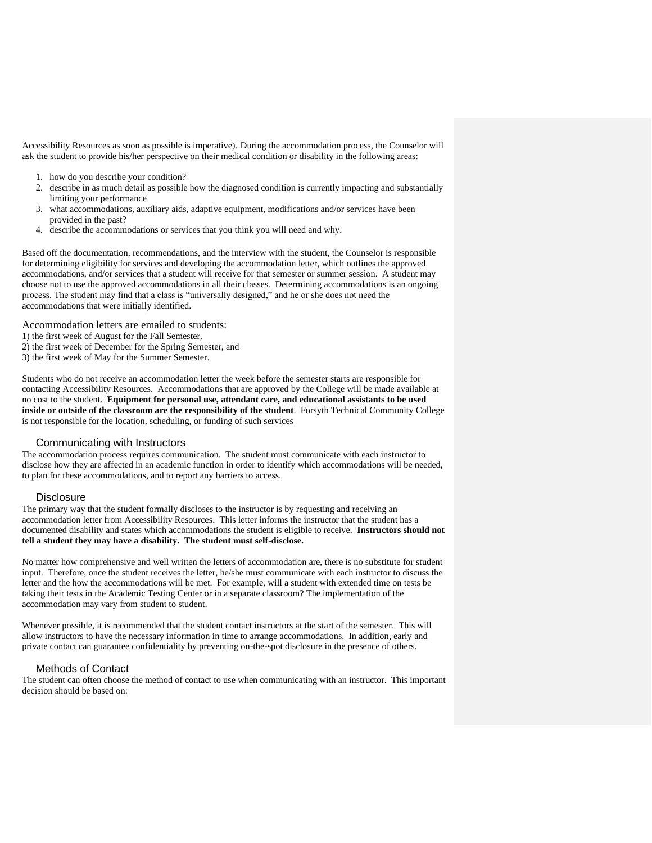Accessibility Resources as soon as possible is imperative). During the accommodation process, the Counselor will ask the student to provide his/her perspective on their medical condition or disability in the following areas:

- 1. how do you describe your condition?
- 2. describe in as much detail as possible how the diagnosed condition is currently impacting and substantially limiting your performance
- 3. what accommodations, auxiliary aids, adaptive equipment, modifications and/or services have been provided in the past?
- 4. describe the accommodations or services that you think you will need and why.

Based off the documentation, recommendations, and the interview with the student, the Counselor is responsible for determining eligibility for services and developing the accommodation letter, which outlines the approved accommodations, and/or services that a student will receive for that semester or summer session. A student may choose not to use the approved accommodations in all their classes. Determining accommodations is an ongoing process. The student may find that a class is "universally designed," and he or she does not need the accommodations that were initially identified.

Accommodation letters are emailed to students:

- 1) the first week of August for the Fall Semester,
- 2) the first week of December for the Spring Semester, and
- 3) the first week of May for the Summer Semester.

Students who do not receive an accommodation letter the week before the semester starts are responsible for contacting Accessibility Resources. Accommodations that are approved by the College will be made available at no cost to the student. **Equipment for personal use, attendant care, and educational assistants to be used inside or outside of the classroom are the responsibility of the student**. Forsyth Technical Community College is not responsible for the location, scheduling, or funding of such services

#### Communicating with Instructors

<span id="page-12-0"></span>The accommodation process requires communication. The student must communicate with each instructor to disclose how they are affected in an academic function in order to identify which accommodations will be needed, to plan for these accommodations, and to report any barriers to access.

#### **Disclosure**

<span id="page-12-1"></span>The primary way that the student formally discloses to the instructor is by requesting and receiving an accommodation letter from Accessibility Resources. This letter informs the instructor that the student has a documented disability and states which accommodations the student is eligible to receive. **Instructors should not tell a student they may have a disability. The student must self-disclose.**

No matter how comprehensive and well written the letters of accommodation are, there is no substitute for student input. Therefore, once the student receives the letter, he/she must communicate with each instructor to discuss the letter and the how the accommodations will be met. For example, will a student with extended time on tests be taking their tests in the Academic Testing Center or in a separate classroom? The implementation of the accommodation may vary from student to student.

Whenever possible, it is recommended that the student contact instructors at the start of the semester. This will allow instructors to have the necessary information in time to arrange accommodations. In addition, early and private contact can guarantee confidentiality by preventing on-the-spot disclosure in the presence of others.

#### <span id="page-12-2"></span>Methods of Contact

The student can often choose the method of contact to use when communicating with an instructor. This important decision should be based on: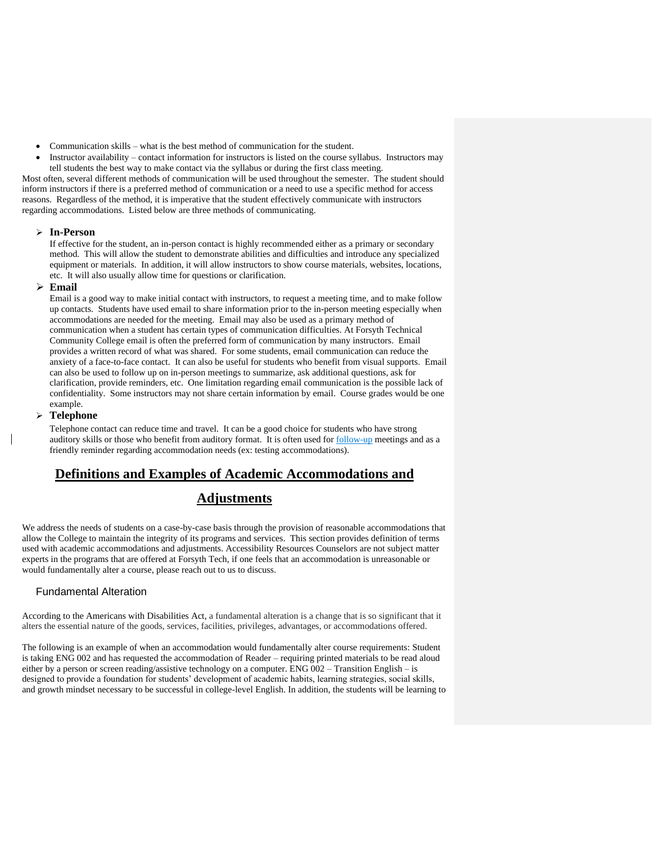- Communication skills what is the best method of communication for the student.
- Instructor availability contact information for instructors is listed on the course syllabus. Instructors may tell students the best way to make contact via the syllabus or during the first class meeting. Most often, several different methods of communication will be used throughout the semester. The student should inform instructors if there is a preferred method of communication or a need to use a specific method for access reasons. Regardless of the method, it is imperative that the student effectively communicate with instructors

regarding accommodations. Listed below are three methods of communicating.

#### ➢ **In-Person**

If effective for the student, an in-person contact is highly recommended either as a primary or secondary method. This will allow the student to demonstrate abilities and difficulties and introduce any specialized equipment or materials. In addition, it will allow instructors to show course materials, websites, locations, etc. It will also usually allow time for questions or clarification.

#### ➢ **Email**

Email is a good way to make initial contact with instructors, to request a meeting time, and to make follow up contacts. Students have used email to share information prior to the in-person meeting especially when accommodations are needed for the meeting. Email may also be used as a primary method of communication when a student has certain types of communication difficulties. At Forsyth Technical Community College email is often the preferred form of communication by many instructors. Email provides a written record of what was shared. For some students, email communication can reduce the anxiety of a face-to-face contact. It can also be useful for students who benefit from visual supports. Email can also be used to follow up on in-person meetings to summarize, ask additional questions, ask for clarification, provide reminders, etc. One limitation regarding email communication is the possible lack of confidentiality. Some instructors may not share certain information by email. Course grades would be one example.

## ➢ **Telephone**

Telephone contact can reduce time and travel. It can be a good choice for students who have strong auditory skills or those who benefit from auditory format. It is often used for follow-up meetings and as a friendly reminder regarding accommodation needs (ex: testing accommodations).

# <span id="page-13-0"></span>**Definitions and Examples of Academic Accommodations and**

# **Adjustments**

We address the needs of students on a case-by-case basis through the provision of reasonable accommodations that allow the College to maintain the integrity of its programs and services. This section provides definition of terms used with academic accommodations and adjustments. Accessibility Resources Counselors are not subject matter experts in the programs that are offered at Forsyth Tech, if one feels that an accommodation is unreasonable or would fundamentally alter a course, please reach out to us to discuss.

# <span id="page-13-1"></span>Fundamental Alteration

According to the Americans with Disabilities Act, a fundamental alteration is a change that is so significant that it alters the essential nature of the goods, services, facilities, privileges, advantages, or accommodations offered.

The following is an example of when an accommodation would fundamentally alter course requirements: Student is taking ENG 002 and has requested the accommodation of Reader – requiring printed materials to be read aloud either by a person or screen reading/assistive technology on a computer. ENG 002 – Transition English – is designed to provide a foundation for students' development of academic habits, learning strategies, social skills, and growth mindset necessary to be successful in college-level English. In addition, the students will be learning to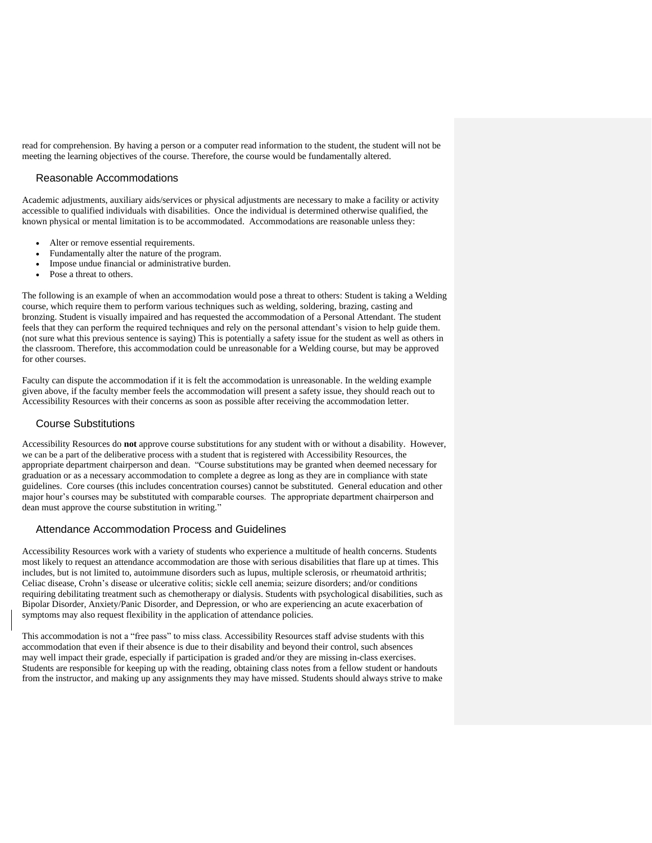read for comprehension. By having a person or a computer read information to the student, the student will not be meeting the learning objectives of the course. Therefore, the course would be fundamentally altered.

#### <span id="page-14-0"></span>Reasonable Accommodations

Academic adjustments, auxiliary aids/services or physical adjustments are necessary to make a facility or activity accessible to qualified individuals with disabilities. Once the individual is determined otherwise qualified, the known physical or mental limitation is to be accommodated. Accommodations are reasonable unless they:

- Alter or remove essential requirements.
- Fundamentally alter the nature of the program.
- Impose undue financial or administrative burden.
- Pose a threat to others.

The following is an example of when an accommodation would pose a threat to others: Student is taking a Welding course, which require them to perform various techniques such as welding, soldering, brazing, casting and bronzing. Student is visually impaired and has requested the accommodation of a Personal Attendant. The student feels that they can perform the required techniques and rely on the personal attendant's vision to help guide them. (not sure what this previous sentence is saying) This is potentially a safety issue for the student as well as others in the classroom. Therefore, this accommodation could be unreasonable for a Welding course, but may be approved for other courses.

Faculty can dispute the accommodation if it is felt the accommodation is unreasonable. In the welding example given above, if the faculty member feels the accommodation will present a safety issue, they should reach out to Accessibility Resources with their concerns as soon as possible after receiving the accommodation letter.

#### <span id="page-14-1"></span>Course Substitutions

Accessibility Resources do **not** approve course substitutions for any student with or without a disability. However, we can be a part of the deliberative process with a student that is registered with Accessibility Resources, the appropriate department chairperson and dean. "Course substitutions may be granted when deemed necessary for graduation or as a necessary accommodation to complete a degree as long as they are in compliance with state guidelines. Core courses (this includes concentration courses) cannot be substituted. General education and other major hour's courses may be substituted with comparable courses. The appropriate department chairperson and dean must approve the course substitution in writing."

## <span id="page-14-2"></span>Attendance Accommodation Process and Guidelines

Accessibility Resources work with a variety of students who experience a multitude of health concerns. Students most likely to request an attendance accommodation are those with serious disabilities that flare up at times. This includes, but is not limited to, autoimmune disorders such as lupus, multiple sclerosis, or rheumatoid arthritis; Celiac disease, Crohn's disease or ulcerative colitis; sickle cell anemia; seizure disorders; and/or conditions requiring debilitating treatment such as chemotherapy or dialysis. Students with psychological disabilities, such as Bipolar Disorder, Anxiety/Panic Disorder, and Depression, or who are experiencing an acute exacerbation of symptoms may also request flexibility in the application of attendance policies.

This accommodation is not a "free pass" to miss class. Accessibility Resources staff advise students with this accommodation that even if their absence is due to their disability and beyond their control, such absences may well impact their grade, especially if participation is graded and/or they are missing in-class exercises. Students are responsible for keeping up with the reading, obtaining class notes from a fellow student or handouts from the instructor, and making up any assignments they may have missed. Students should always strive to make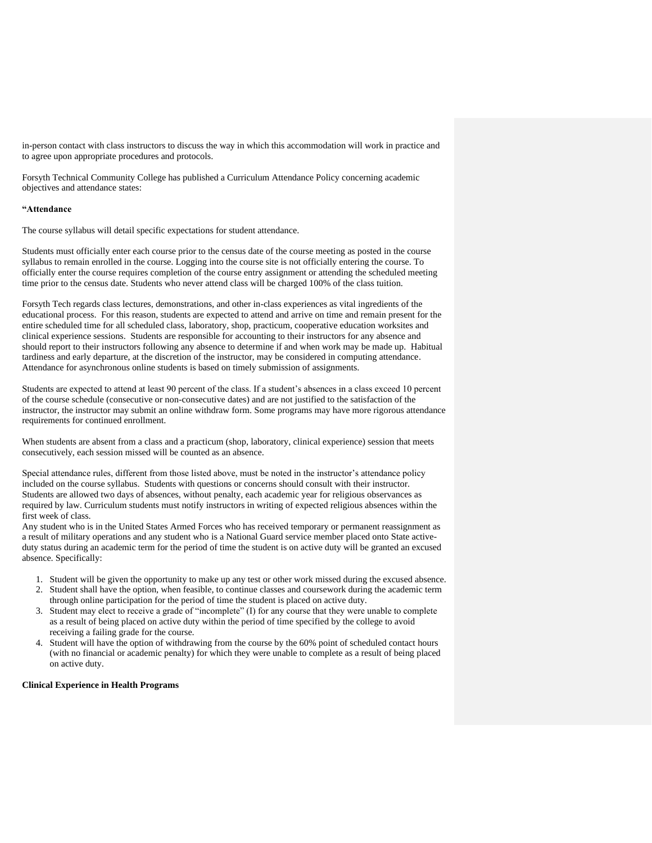in-person contact with class instructors to discuss the way in which this accommodation will work in practice and to agree upon appropriate procedures and protocols.

Forsyth Technical Community College has published a Curriculum Attendance Policy concerning academic objectives and attendance states:

#### **"Attendance**

The course syllabus will detail specific expectations for student attendance.

Students must officially enter each course prior to the census date of the course meeting as posted in the course syllabus to remain enrolled in the course. Logging into the course site is not officially entering the course. To officially enter the course requires completion of the course entry assignment or attending the scheduled meeting time prior to the census date. Students who never attend class will be charged 100% of the class tuition.

Forsyth Tech regards class lectures, demonstrations, and other in-class experiences as vital ingredients of the educational process. For this reason, students are expected to attend and arrive on time and remain present for the entire scheduled time for all scheduled class, laboratory, shop, practicum, cooperative education worksites and clinical experience sessions. Students are responsible for accounting to their instructors for any absence and should report to their instructors following any absence to determine if and when work may be made up. Habitual tardiness and early departure, at the discretion of the instructor, may be considered in computing attendance. Attendance for asynchronous online students is based on timely submission of assignments.

Students are expected to attend at least 90 percent of the class. If a student's absences in a class exceed 10 percent of the course schedule (consecutive or non-consecutive dates) and are not justified to the satisfaction of the instructor, the instructor may submit an online withdraw form. Some programs may have more rigorous attendance requirements for continued enrollment.

When students are absent from a class and a practicum (shop, laboratory, clinical experience) session that meets consecutively, each session missed will be counted as an absence.

Special attendance rules, different from those listed above, must be noted in the instructor's attendance policy included on the course syllabus. Students with questions or concerns should consult with their instructor. Students are allowed two days of absences, without penalty, each academic year for religious observances as required by law. Curriculum students must notify instructors in writing of expected religious absences within the first week of class.

Any student who is in the United States Armed Forces who has received temporary or permanent reassignment as a result of military operations and any student who is a National Guard service member placed onto State activeduty status during an academic term for the period of time the student is on active duty will be granted an excused absence. Specifically:

- 1. Student will be given the opportunity to make up any test or other work missed during the excused absence.
- 2. Student shall have the option, when feasible, to continue classes and coursework during the academic term through online participation for the period of time the student is placed on active duty.
- 3. Student may elect to receive a grade of "incomplete" (I) for any course that they were unable to complete as a result of being placed on active duty within the period of time specified by the college to avoid receiving a failing grade for the course.
- 4. Student will have the option of withdrawing from the course by the 60% point of scheduled contact hours (with no financial or academic penalty) for which they were unable to complete as a result of being placed on active duty.

#### **Clinical Experience in Health Programs**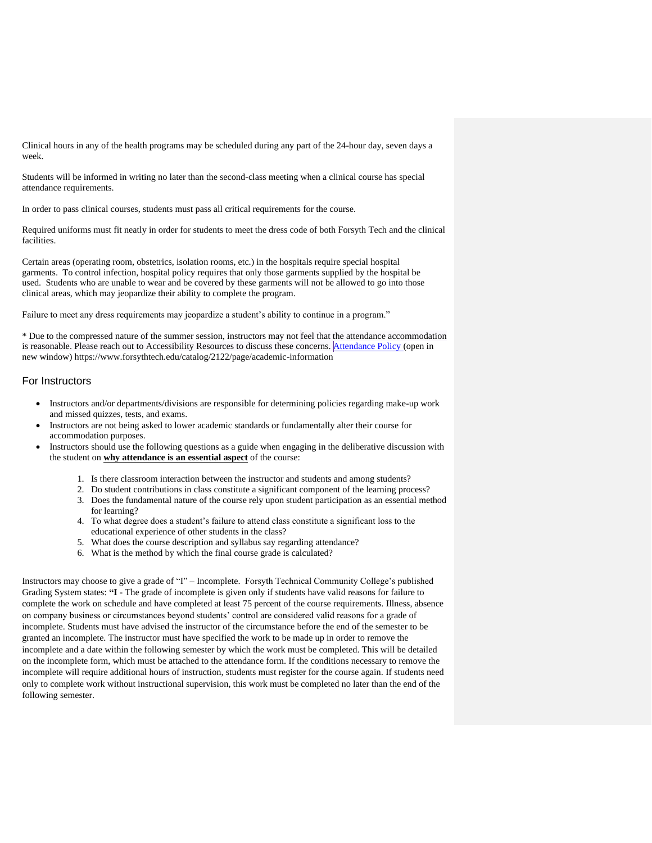Clinical hours in any of the health programs may be scheduled during any part of the 24-hour day, seven days a week.

Students will be informed in writing no later than the second-class meeting when a clinical course has special attendance requirements.

In order to pass clinical courses, students must pass all critical requirements for the course.

Required uniforms must fit neatly in order for students to meet the dress code of both Forsyth Tech and the clinical facilities.

Certain areas (operating room, obstetrics, isolation rooms, etc.) in the hospitals require special hospital garments. To control infection, hospital policy requires that only those garments supplied by the hospital be used. Students who are unable to wear and be covered by these garments will not be allowed to go into those clinical areas, which may jeopardize their ability to complete the program.

Failure to meet any dress requirements may jeopardize a student's ability to continue in a program."

\* Due to the compressed nature of the summer session, instructors may not feel that the attendance accommodation is reasonable. Please reach out to Accessibility Resources to discuss these concerns. At[tendance Policy](https://www.forsythtech.edu/catalog/2122/page/academic-information) (open in new window) https://www.forsythtech.edu/catalog/2122/page/academic-information

# <span id="page-16-0"></span>For Instructors

- Instructors and/or departments/divisions are responsible for determining policies regarding make-up work and missed quizzes, tests, and exams.
- Instructors are not being asked to lower academic standards or fundamentally alter their course for accommodation purposes.
- Instructors should use the following questions as a guide when engaging in the deliberative discussion with the student on **why attendance is an essential aspect** of the course:
	- 1. Is there classroom interaction between the instructor and students and among students?
	- 2. Do student contributions in class constitute a significant component of the learning process?
	- 3. Does the fundamental nature of the course rely upon student participation as an essential method for learning?
	- 4. To what degree does a student's failure to attend class constitute a significant loss to the educational experience of other students in the class?
	- 5. What does the course description and syllabus say regarding attendance?
	- 6. What is the method by which the final course grade is calculated?

Instructors may choose to give a grade of "I" – Incomplete. Forsyth Technical Community College's published Grading System states: **"I** - The grade of incomplete is given only if students have valid reasons for failure to complete the work on schedule and have completed at least 75 percent of the course requirements. Illness, absence on company business or circumstances beyond students' control are considered valid reasons for a grade of incomplete. Students must have advised the instructor of the circumstance before the end of the semester to be granted an incomplete. The instructor must have specified the work to be made up in order to remove the incomplete and a date within the following semester by which the work must be completed. This will be detailed on the incomplete form, which must be attached to the attendance form. If the conditions necessary to remove the incomplete will require additional hours of instruction, students must register for the course again. If students need only to complete work without instructional supervision, this work must be completed no later than the end of the following semester.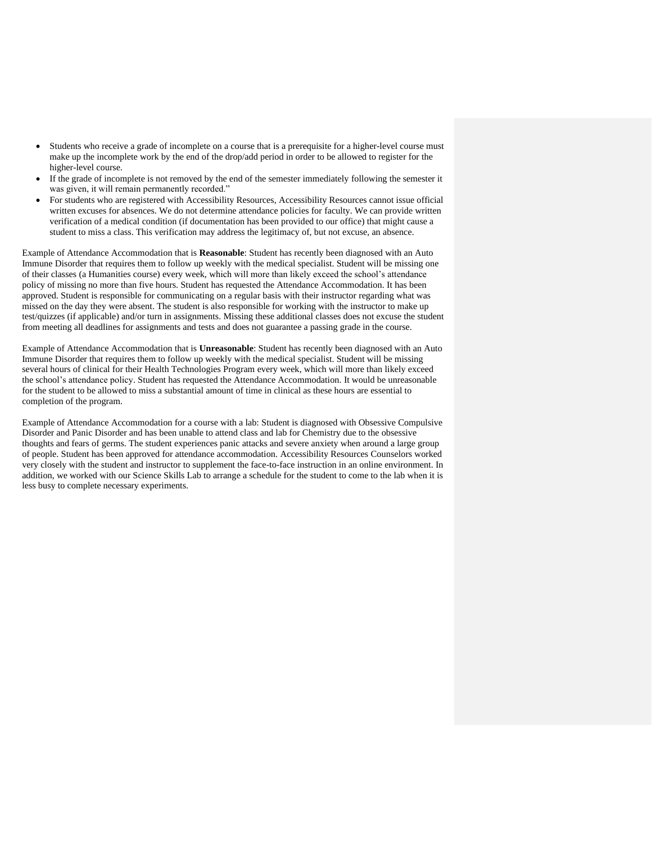- Students who receive a grade of incomplete on a course that is a prerequisite for a higher-level course must make up the incomplete work by the end of the drop/add period in order to be allowed to register for the higher-level course.
- If the grade of incomplete is not removed by the end of the semester immediately following the semester it was given, it will remain permanently recorded."
- For students who are registered with Accessibility Resources, Accessibility Resources cannot issue official written excuses for absences. We do not determine attendance policies for faculty. We can provide written verification of a medical condition (if documentation has been provided to our office) that might cause a student to miss a class. This verification may address the legitimacy of, but not excuse, an absence.

Example of Attendance Accommodation that is **Reasonable**: Student has recently been diagnosed with an Auto Immune Disorder that requires them to follow up weekly with the medical specialist. Student will be missing one of their classes (a Humanities course) every week, which will more than likely exceed the school's attendance policy of missing no more than five hours. Student has requested the Attendance Accommodation. It has been approved. Student is responsible for communicating on a regular basis with their instructor regarding what was missed on the day they were absent. The student is also responsible for working with the instructor to make up test/quizzes (if applicable) and/or turn in assignments. Missing these additional classes does not excuse the student from meeting all deadlines for assignments and tests and does not guarantee a passing grade in the course.

Example of Attendance Accommodation that is **Unreasonable**: Student has recently been diagnosed with an Auto Immune Disorder that requires them to follow up weekly with the medical specialist. Student will be missing several hours of clinical for their Health Technologies Program every week, which will more than likely exceed the school's attendance policy. Student has requested the Attendance Accommodation. It would be unreasonable for the student to be allowed to miss a substantial amount of time in clinical as these hours are essential to completion of the program.

Example of Attendance Accommodation for a course with a lab: Student is diagnosed with Obsessive Compulsive Disorder and Panic Disorder and has been unable to attend class and lab for Chemistry due to the obsessive thoughts and fears of germs. The student experiences panic attacks and severe anxiety when around a large group of people. Student has been approved for attendance accommodation. Accessibility Resources Counselors worked very closely with the student and instructor to supplement the face-to-face instruction in an online environment. In addition, we worked with our Science Skills Lab to arrange a schedule for the student to come to the lab when it is less busy to complete necessary experiments.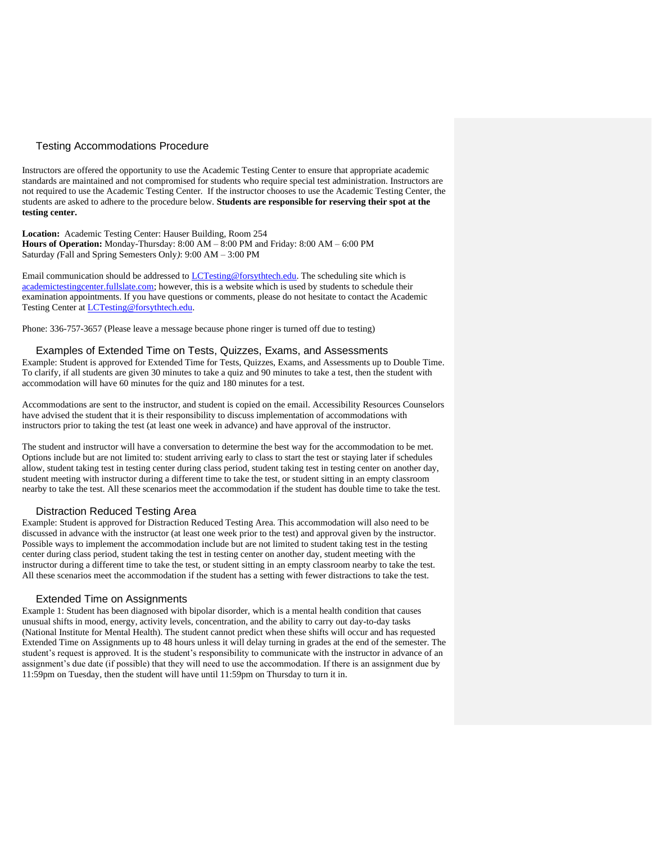# <span id="page-18-0"></span>Testing Accommodations Procedure

Instructors are offered the opportunity to use the Academic Testing Center to ensure that appropriate academic standards are maintained and not compromised for students who require special test administration. Instructors are not required to use the Academic Testing Center. If the instructor chooses to use the Academic Testing Center, the students are asked to adhere to the procedure below. **Students are responsible for reserving their spot at the testing center.**

**Location:** Academic Testing Center: Hauser Building, Room 254 **Hours of Operation:** Monday-Thursday: 8:00 AM – 8:00 PM and Friday: 8:00 AM – 6:00 PM Saturday *(*Fall and Spring Semesters Only*)*: 9:00 AM – 3:00 PM

Email communication should be addressed to [LCTesting@forsythtech.edu.](mailto:LCTesting@forsythtech.edu) The scheduling site which is [academictestingcenter.fullslate.com;](http://academictestingcenter.fullslate.com/) however, this is a website which is used by students to schedule their examination appointments. If you have questions or comments, please do not hesitate to contact the Academic Testing Center at [LCTesting@forsythtech.edu.](mailto:LCTesting@forsythtech.edu)

Phone: 336-757-3657 (Please leave a message because phone ringer is turned off due to testing)

#### <span id="page-18-1"></span>Examples of Extended Time on Tests, Quizzes, Exams, and Assessments

Example: Student is approved for Extended Time for Tests, Quizzes, Exams, and Assessments up to Double Time. To clarify, if all students are given 30 minutes to take a quiz and 90 minutes to take a test, then the student with accommodation will have 60 minutes for the quiz and 180 minutes for a test.

Accommodations are sent to the instructor, and student is copied on the email. Accessibility Resources Counselors have advised the student that it is their responsibility to discuss implementation of accommodations with instructors prior to taking the test (at least one week in advance) and have approval of the instructor.

The student and instructor will have a conversation to determine the best way for the accommodation to be met. Options include but are not limited to: student arriving early to class to start the test or staying later if schedules allow, student taking test in testing center during class period, student taking test in testing center on another day, student meeting with instructor during a different time to take the test, or student sitting in an empty classroom nearby to take the test. All these scenarios meet the accommodation if the student has double time to take the test.

#### Distraction Reduced Testing Area

<span id="page-18-2"></span>Example: Student is approved for Distraction Reduced Testing Area. This accommodation will also need to be discussed in advance with the instructor (at least one week prior to the test) and approval given by the instructor. Possible ways to implement the accommodation include but are not limited to student taking test in the testing center during class period, student taking the test in testing center on another day, student meeting with the instructor during a different time to take the test, or student sitting in an empty classroom nearby to take the test. All these scenarios meet the accommodation if the student has a setting with fewer distractions to take the test.

#### Extended Time on Assignments

<span id="page-18-3"></span>Example 1: Student has been diagnosed with bipolar disorder, which is a mental health condition that causes unusual shifts in mood, energy, activity levels, concentration, and the ability to carry out day-to-day tasks (National Institute for Mental Health). The student cannot predict when these shifts will occur and has requested Extended Time on Assignments up to 48 hours unless it will delay turning in grades at the end of the semester. The student's request is approved. It is the student's responsibility to communicate with the instructor in advance of an assignment's due date (if possible) that they will need to use the accommodation. If there is an assignment due by 11:59pm on Tuesday, then the student will have until 11:59pm on Thursday to turn it in.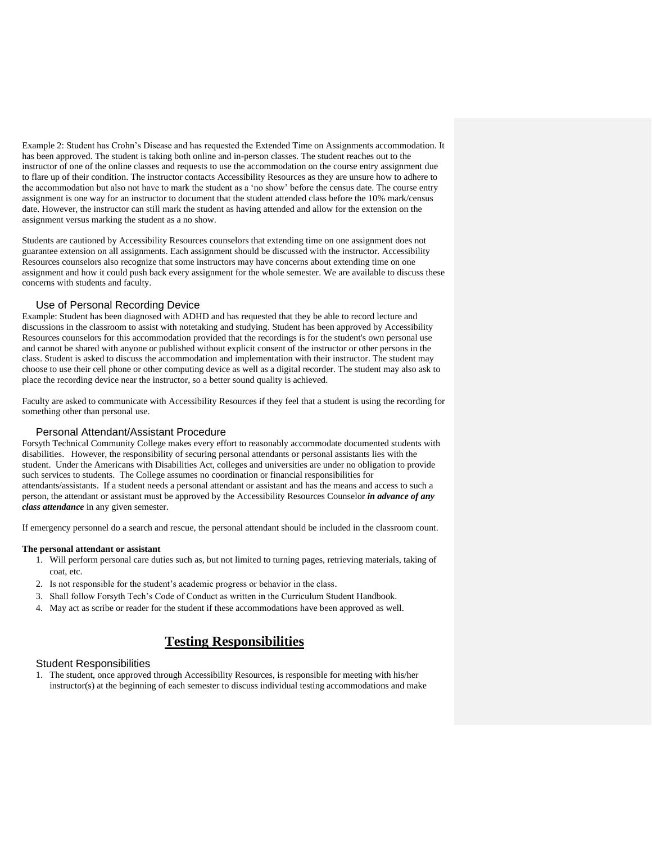Example 2: Student has Crohn's Disease and has requested the Extended Time on Assignments accommodation. It has been approved. The student is taking both online and in-person classes. The student reaches out to the instructor of one of the online classes and requests to use the accommodation on the course entry assignment due to flare up of their condition. The instructor contacts Accessibility Resources as they are unsure how to adhere to the accommodation but also not have to mark the student as a 'no show' before the census date. The course entry assignment is one way for an instructor to document that the student attended class before the 10% mark/census date. However, the instructor can still mark the student as having attended and allow for the extension on the assignment versus marking the student as a no show.

Students are cautioned by Accessibility Resources counselors that extending time on one assignment does not guarantee extension on all assignments. Each assignment should be discussed with the instructor. Accessibility Resources counselors also recognize that some instructors may have concerns about extending time on one assignment and how it could push back every assignment for the whole semester. We are available to discuss these concerns with students and faculty.

## Use of Personal Recording Device

<span id="page-19-0"></span>Example: Student has been diagnosed with ADHD and has requested that they be able to record lecture and discussions in the classroom to assist with notetaking and studying. Student has been approved by Accessibility Resources counselors for this accommodation provided that the recordings is for the student's own personal use and cannot be shared with anyone or published without explicit consent of the instructor or other persons in the class. Student is asked to discuss the accommodation and implementation with their instructor. The student may choose to use their cell phone or other computing device as well as a digital recorder. The student may also ask to place the recording device near the instructor, so a better sound quality is achieved.

Faculty are asked to communicate with Accessibility Resources if they feel that a student is using the recording for something other than personal use.

## Personal Attendant/Assistant Procedure

<span id="page-19-1"></span>Forsyth Technical Community College makes every effort to reasonably accommodate documented students with disabilities. However, the responsibility of securing personal attendants or personal assistants lies with the student. Under the Americans with Disabilities Act, colleges and universities are under no obligation to provide such services to students. The College assumes no coordination or financial responsibilities for attendants/assistants. If a student needs a personal attendant or assistant and has the means and access to such a person, the attendant or assistant must be approved by the Accessibility Resources Counselor *in advance of any class attendance* in any given semester.

If emergency personnel do a search and rescue, the personal attendant should be included in the classroom count.

#### **The personal attendant or assistant**

- 1. Will perform personal care duties such as, but not limited to turning pages, retrieving materials, taking of coat, etc.
- 2. Is not responsible for the student's academic progress or behavior in the class.
- 3. Shall follow Forsyth Tech's Code of Conduct as written in the Curriculum Student Handbook.
- 4. May act as scribe or reader for the student if these accommodations have been approved as well.

# **Testing Responsibilities**

#### <span id="page-19-3"></span><span id="page-19-2"></span>Student Responsibilities

1. The student, once approved through Accessibility Resources, is responsible for meeting with his/her instructor(s) at the beginning of each semester to discuss individual testing accommodations and make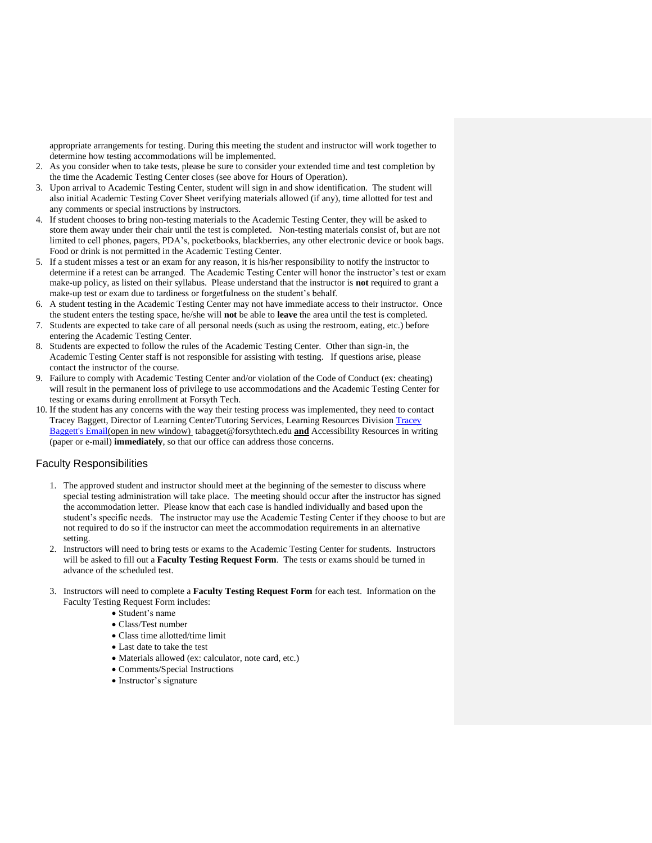appropriate arrangements for testing. During this meeting the student and instructor will work together to determine how testing accommodations will be implemented.

- 2. As you consider when to take tests, please be sure to consider your extended time and test completion by the time the Academic Testing Center closes (see above for Hours of Operation).
- 3. Upon arrival to Academic Testing Center, student will sign in and show identification. The student will also initial Academic Testing Cover Sheet verifying materials allowed (if any), time allotted for test and any comments or special instructions by instructors.
- 4. If student chooses to bring non-testing materials to the Academic Testing Center, they will be asked to store them away under their chair until the test is completed. Non-testing materials consist of, but are not limited to cell phones, pagers, PDA's, pocketbooks, blackberries, any other electronic device or book bags. Food or drink is not permitted in the Academic Testing Center.
- 5. If a student misses a test or an exam for any reason, it is his/her responsibility to notify the instructor to determine if a retest can be arranged. The Academic Testing Center will honor the instructor's test or exam make-up policy, as listed on their syllabus. Please understand that the instructor is **not** required to grant a make-up test or exam due to tardiness or forgetfulness on the student's behalf.
- 6. A student testing in the Academic Testing Center may not have immediate access to their instructor. Once the student enters the testing space, he/she will **not** be able to **leave** the area until the test is completed.
- 7. Students are expected to take care of all personal needs (such as using the restroom, eating, etc.) before entering the Academic Testing Center.
- 8. Students are expected to follow the rules of the Academic Testing Center. Other than sign-in, the Academic Testing Center staff is not responsible for assisting with testing. If questions arise, please contact the instructor of the course.
- 9. Failure to comply with Academic Testing Center and/or violation of the Code of Conduct (ex: cheating) will result in the permanent loss of privilege to use accommodations and the Academic Testing Center for testing or exams during enrollment at Forsyth Tech.
- 10. If the student has any concerns with the way their testing process was implemented, they need to contact Tracey Baggett, Director of Learning Center/Tutoring Services, Learning Resources Division [Tracey](mailto:tbaggett@forsythtech.edu)  [Baggett's Email\(](mailto:tbaggett@forsythtech.edu)open in new window) tabagget@forsythtech.edu **and** Accessibility Resources in writing (paper or e-mail) **immediately**, so that our office can address those concerns.

## <span id="page-20-0"></span>Faculty Responsibilities

- 1. The approved student and instructor should meet at the beginning of the semester to discuss where special testing administration will take place. The meeting should occur after the instructor has signed the accommodation letter. Please know that each case is handled individually and based upon the student's specific needs. The instructor may use the Academic Testing Center if they choose to but are not required to do so if the instructor can meet the accommodation requirements in an alternative setting.
- 2. Instructors will need to bring tests or exams to the Academic Testing Center for students. Instructors will be asked to fill out a **Faculty Testing Request Form**. The tests or exams should be turned in advance of the scheduled test.
- 3. Instructors will need to complete a **Faculty Testing Request Form** for each test. Information on the Faculty Testing Request Form includes:
	- Student's name
	- Class/Test number
	- Class time allotted/time limit
	- Last date to take the test
	- Materials allowed (ex: calculator, note card, etc.)
	- Comments/Special Instructions
	- Instructor's signature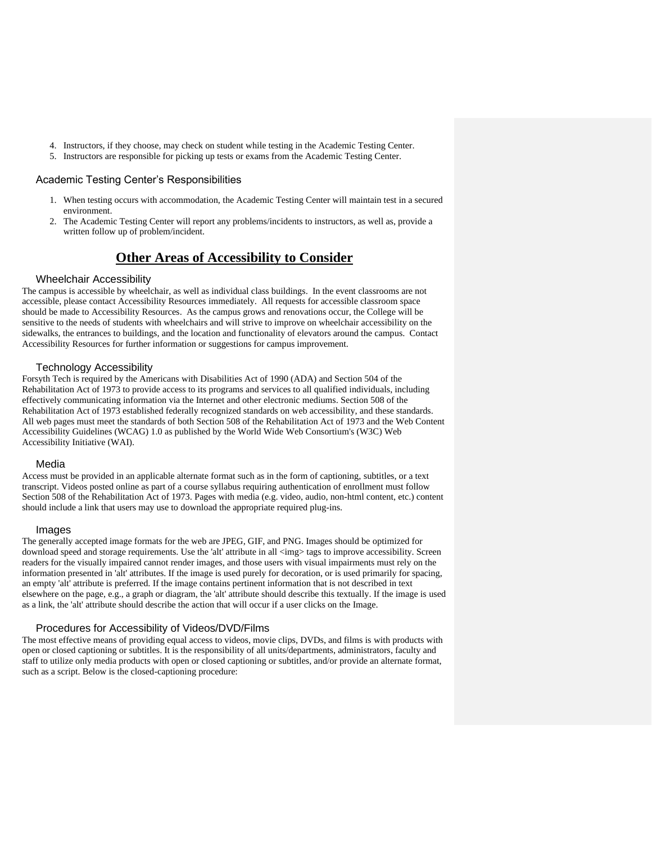- 4. Instructors, if they choose, may check on student while testing in the Academic Testing Center.
- 5. Instructors are responsible for picking up tests or exams from the Academic Testing Center.

#### <span id="page-21-0"></span>Academic Testing Center's Responsibilities

- 1. When testing occurs with accommodation, the Academic Testing Center will maintain test in a secured environment.
- 2. The Academic Testing Center will report any problems/incidents to instructors, as well as, provide a written follow up of problem/incident.

# **Other Areas of Accessibility to Consider**

#### <span id="page-21-1"></span>Wheelchair Accessibility

<span id="page-21-2"></span>The campus is accessible by wheelchair, as well as individual class buildings. In the event classrooms are not accessible, please contact Accessibility Resources immediately. All requests for accessible classroom space should be made to Accessibility Resources. As the campus grows and renovations occur, the College will be sensitive to the needs of students with wheelchairs and will strive to improve on wheelchair accessibility on the sidewalks, the entrances to buildings, and the location and functionality of elevators around the campus. Contact Accessibility Resources for further information or suggestions for campus improvement.

#### Technology Accessibility

<span id="page-21-3"></span>Forsyth Tech is required by the Americans with Disabilities Act of 1990 (ADA) and Section 504 of the Rehabilitation Act of 1973 to provide access to its programs and services to all qualified individuals, including effectively communicating information via the Internet and other electronic mediums. Section 508 of the Rehabilitation Act of 1973 established federally recognized standards on web accessibility, and these standards. All web pages must meet the standards of both Section 508 of the Rehabilitation Act of 1973 and the Web Content Accessibility Guidelines (WCAG) 1.0 as published by the World Wide Web Consortium's (W3C) Web Accessibility Initiative (WAI).

#### Media

<span id="page-21-4"></span>Access must be provided in an applicable alternate format such as in the form of captioning, subtitles, or a text transcript. Videos posted online as part of a course syllabus requiring authentication of enrollment must follow Section 508 of the Rehabilitation Act of 1973. Pages with media (e.g. video, audio, non-html content, etc.) content should include a link that users may use to download the appropriate required plug-ins.

#### Images

<span id="page-21-5"></span>The generally accepted image formats for the web are JPEG, GIF, and PNG. Images should be optimized for download speed and storage requirements. Use the 'alt' attribute in all  $\langle$ img> tags to improve accessibility. Screen readers for the visually impaired cannot render images, and those users with visual impairments must rely on the information presented in 'alt' attributes. If the image is used purely for decoration, or is used primarily for spacing, an empty 'alt' attribute is preferred. If the image contains pertinent information that is not described in text elsewhere on the page, e.g., a graph or diagram, the 'alt' attribute should describe this textually. If the image is used as a link, the 'alt' attribute should describe the action that will occur if a user clicks on the Image.

#### Procedures for Accessibility of Videos/DVD/Films

<span id="page-21-6"></span>The most effective means of providing equal access to videos, movie clips, DVDs, and films is with products with open or closed captioning or subtitles. It is the responsibility of all units/departments, administrators, faculty and staff to utilize only media products with open or closed captioning or subtitles, and/or provide an alternate format, such as a script. Below is the closed-captioning procedure: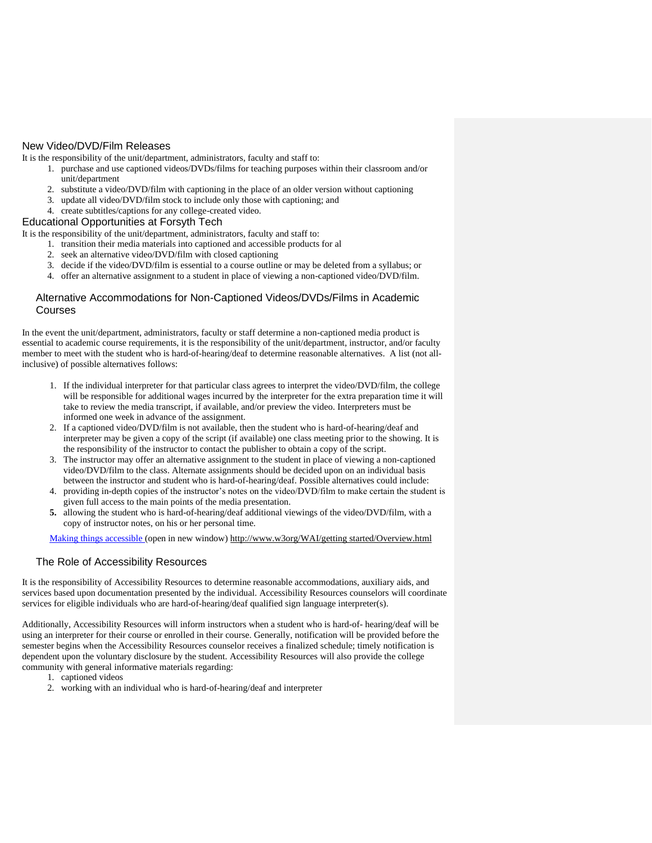# <span id="page-22-0"></span>New Video/DVD/Film Releases

It is the responsibility of the unit/department, administrators, faculty and staff to:

- 1. purchase and use captioned videos/DVDs/films for teaching purposes within their classroom and/or unit/department
- 2. substitute a video/DVD/film with captioning in the place of an older version without captioning
- 3. update all video/DVD/film stock to include only those with captioning; and
- 4. create subtitles/captions for any college-created video.

#### <span id="page-22-1"></span>Educational Opportunities at Forsyth Tech

It is the responsibility of the unit/department, administrators, faculty and staff to:

- 1. transition their media materials into captioned and accessible products for al
- 2. seek an alternative video/DVD/film with closed captioning
- 3. decide if the video/DVD/film is essential to a course outline or may be deleted from a syllabus; or
- 4. offer an alternative assignment to a student in place of viewing a non-captioned video/DVD/film.

## <span id="page-22-2"></span>Alternative Accommodations for Non-Captioned Videos/DVDs/Films in Academic Courses

In the event the unit/department, administrators, faculty or staff determine a non-captioned media product is essential to academic course requirements, it is the responsibility of the unit/department, instructor, and/or faculty member to meet with the student who is hard-of-hearing/deaf to determine reasonable alternatives. A list (not allinclusive) of possible alternatives follows:

- 1. If the individual interpreter for that particular class agrees to interpret the video/DVD/film, the college will be responsible for additional wages incurred by the interpreter for the extra preparation time it will take to review the media transcript, if available, and/or preview the video. Interpreters must be informed one week in advance of the assignment.
- 2. If a captioned video/DVD/film is not available, then the student who is hard-of-hearing/deaf and interpreter may be given a copy of the script (if available) one class meeting prior to the showing. It is the responsibility of the instructor to contact the publisher to obtain a copy of the script.
- 3. The instructor may offer an alternative assignment to the student in place of viewing a non-captioned video/DVD/film to the class. Alternate assignments should be decided upon on an individual basis between the instructor and student who is hard-of-hearing/deaf. Possible alternatives could include:
- 4. providing in-depth copies of the instructor's notes on the video/DVD/film to make certain the student is given full access to the main points of the media presentation.
- **5.** allowing the student who is hard-of-hearing/deaf additional viewings of the video/DVD/film, with a copy of instructor notes, on his or her personal time.

[Making things accessible](http://www.w3.org/WAI/gettingstarted/Overview.html) (open in new window) http://www.w3org/WAI/getting started/Overview.html

# <span id="page-22-3"></span>The Role of Accessibility Resources

It is the responsibility of Accessibility Resources to determine reasonable accommodations, auxiliary aids, and services based upon documentation presented by the individual. Accessibility Resources counselors will coordinate services for eligible individuals who are hard-of-hearing/deaf qualified sign language interpreter(s).

Additionally, Accessibility Resources will inform instructors when a student who is hard-of- hearing/deaf will be using an interpreter for their course or enrolled in their course. Generally, notification will be provided before the semester begins when the Accessibility Resources counselor receives a finalized schedule; timely notification is dependent upon the voluntary disclosure by the student. Accessibility Resources will also provide the college community with general informative materials regarding:

- 1. captioned videos
- 2. working with an individual who is hard-of-hearing/deaf and interpreter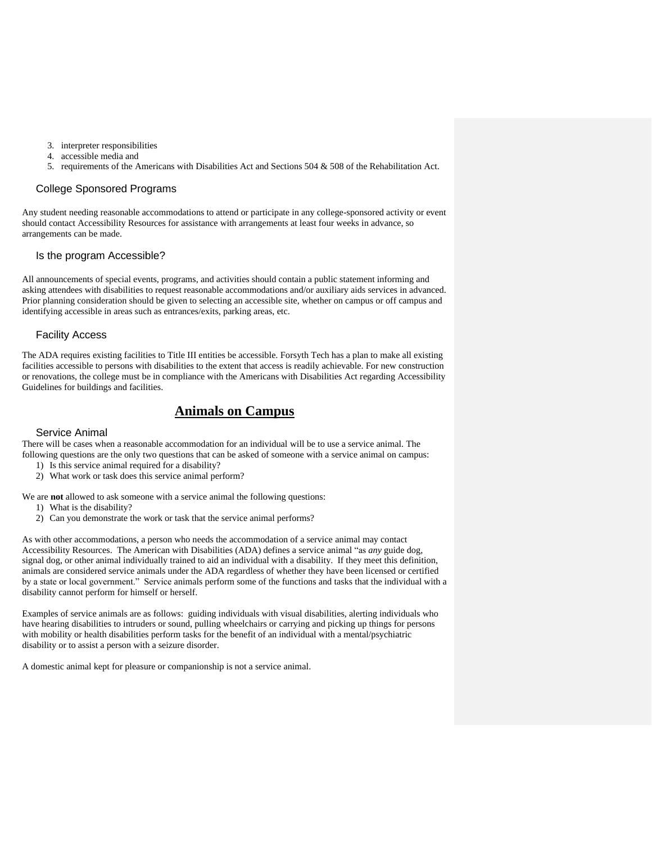- 3. interpreter responsibilities
- 4. accessible media and
- 5. requirements of the Americans with Disabilities Act and Sections 504 & 508 of the Rehabilitation Act.

#### <span id="page-23-0"></span>College Sponsored Programs

Any student needing reasonable accommodations to attend or participate in any college-sponsored activity or event should contact Accessibility Resources for assistance with arrangements at least four weeks in advance, so arrangements can be made.

#### <span id="page-23-1"></span>Is the program Accessible?

All announcements of special events, programs, and activities should contain a public statement informing and asking attendees with disabilities to request reasonable accommodations and/or auxiliary aids services in advanced. Prior planning consideration should be given to selecting an accessible site, whether on campus or off campus and identifying accessible in areas such as entrances/exits, parking areas, etc.

#### <span id="page-23-2"></span>Facility Access

The ADA requires existing facilities to Title III entities be accessible. Forsyth Tech has a plan to make all existing facilities accessible to persons with disabilities to the extent that access is readily achievable. For new construction or renovations, the college must be in compliance with the Americans with Disabilities Act regarding Accessibility Guidelines for buildings and facilities.

# **Animals on Campus**

#### <span id="page-23-3"></span>Service Animal

<span id="page-23-4"></span>There will be cases when a reasonable accommodation for an individual will be to use a service animal. The following questions are the only two questions that can be asked of someone with a service animal on campus:

- 1) Is this service animal required for a disability?
- 2) What work or task does this service animal perform?

We are **not** allowed to ask someone with a service animal the following questions:

- 1) What is the disability?
- 2) Can you demonstrate the work or task that the service animal performs?

As with other accommodations, a person who needs the accommodation of a service animal may contact Accessibility Resources. The American with Disabilities (ADA) defines a service animal "as *any* guide dog, signal dog, or other animal individually trained to aid an individual with a disability. If they meet this definition, animals are considered service animals under the ADA regardless of whether they have been licensed or certified by a state or local government." Service animals perform some of the functions and tasks that the individual with a disability cannot perform for himself or herself.

Examples of service animals are as follows: guiding individuals with visual disabilities, alerting individuals who have hearing disabilities to intruders or sound, pulling wheelchairs or carrying and picking up things for persons with mobility or health disabilities perform tasks for the benefit of an individual with a mental/psychiatric disability or to assist a person with a seizure disorder.

A domestic animal kept for pleasure or companionship is not a service animal.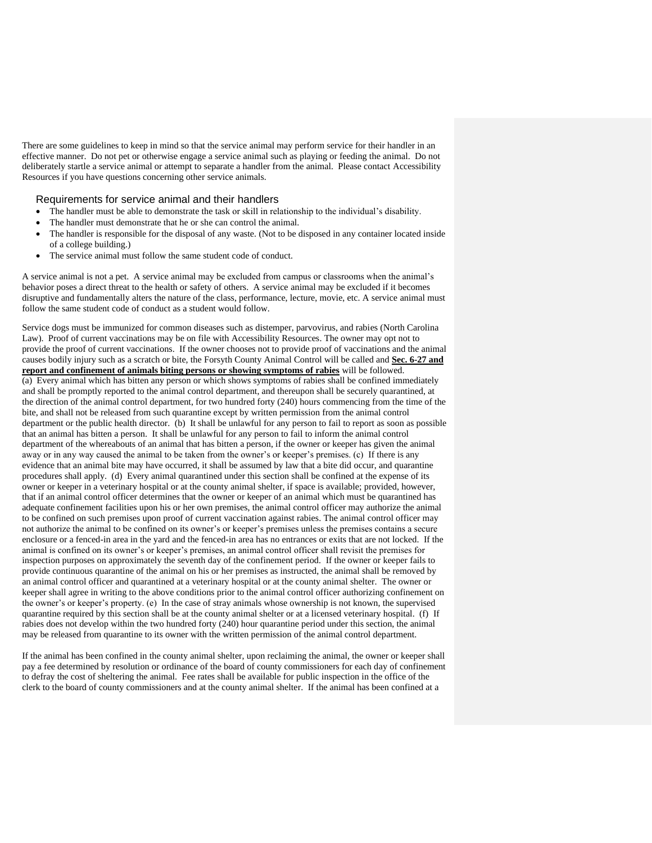There are some guidelines to keep in mind so that the service animal may perform service for their handler in an effective manner. Do not pet or otherwise engage a service animal such as playing or feeding the animal. Do not deliberately startle a service animal or attempt to separate a handler from the animal. Please contact Accessibility Resources if you have questions concerning other service animals.

## <span id="page-24-0"></span>Requirements for service animal and their handlers

- The handler must be able to demonstrate the task or skill in relationship to the individual's disability.
- The handler must demonstrate that he or she can control the animal.
- The handler is responsible for the disposal of any waste. (Not to be disposed in any container located inside of a college building.)
- The service animal must follow the same student code of conduct.

A service animal is not a pet. A service animal may be excluded from campus or classrooms when the animal's behavior poses a direct threat to the health or safety of others. A service animal may be excluded if it becomes disruptive and fundamentally alters the nature of the class, performance, lecture, movie, etc. A service animal must follow the same student code of conduct as a student would follow.

Service dogs must be immunized for common diseases such as distemper, parvovirus, and rabies (North Carolina Law). Proof of current vaccinations may be on file with Accessibility Resources. The owner may opt not to provide the proof of current vaccinations. If the owner chooses not to provide proof of vaccinations and the animal causes bodily injury such as a scratch or bite, the Forsyth County Animal Control will be called and **Sec. 6-27 and report and confinement of animals biting persons or showing symptoms of rabies** will be followed. (a) Every animal which has bitten any person or which shows symptoms of rabies shall be confined immediately and shall be promptly reported to the animal control department, and thereupon shall be securely quarantined, at the direction of the animal control department, for two hundred forty (240) hours commencing from the time of the bite, and shall not be released from such quarantine except by written permission from the animal control department or the public health director. (b) It shall be unlawful for any person to fail to report as soon as possible that an animal has bitten a person. It shall be unlawful for any person to fail to inform the animal control department of the whereabouts of an animal that has bitten a person, if the owner or keeper has given the animal away or in any way caused the animal to be taken from the owner's or keeper's premises. (c) If there is any evidence that an animal bite may have occurred, it shall be assumed by law that a bite did occur, and quarantine procedures shall apply. (d) Every animal quarantined under this section shall be confined at the expense of its owner or keeper in a veterinary hospital or at the county animal shelter, if space is available; provided, however, that if an animal control officer determines that the owner or keeper of an animal which must be quarantined has adequate confinement facilities upon his or her own premises, the animal control officer may authorize the animal to be confined on such premises upon proof of current vaccination against rabies. The animal control officer may not authorize the animal to be confined on its owner's or keeper's premises unless the premises contains a secure enclosure or a fenced-in area in the yard and the fenced-in area has no entrances or exits that are not locked. If the animal is confined on its owner's or keeper's premises, an animal control officer shall revisit the premises for inspection purposes on approximately the seventh day of the confinement period. If the owner or keeper fails to provide continuous quarantine of the animal on his or her premises as instructed, the animal shall be removed by an animal control officer and quarantined at a veterinary hospital or at the county animal shelter. The owner or keeper shall agree in writing to the above conditions prior to the animal control officer authorizing confinement on the owner's or keeper's property. (e) In the case of stray animals whose ownership is not known, the supervised quarantine required by this section shall be at the county animal shelter or at a licensed veterinary hospital. (f) If rabies does not develop within the two hundred forty (240) hour quarantine period under this section, the animal may be released from quarantine to its owner with the written permission of the animal control department.

If the animal has been confined in the county animal shelter, upon reclaiming the animal, the owner or keeper shall pay a fee determined by resolution or ordinance of the board of county commissioners for each day of confinement to defray the cost of sheltering the animal. Fee rates shall be available for public inspection in the office of the clerk to the board of county commissioners and at the county animal shelter. If the animal has been confined at a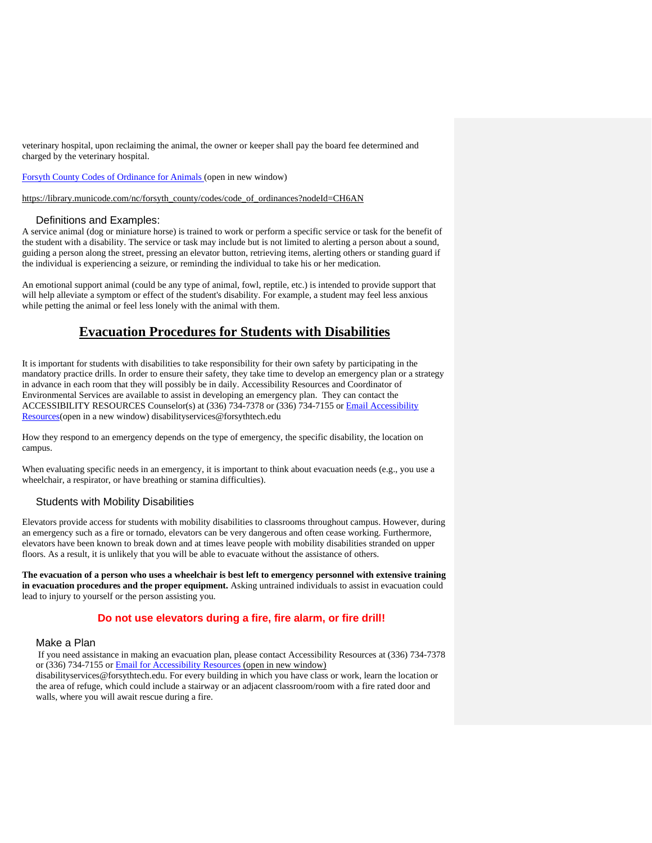veterinary hospital, upon reclaiming the animal, the owner or keeper shall pay the board fee determined and charged by the veterinary hospital.

[Forsyth County Codes of Ordinance for Animals](http://library.municode.com/index.aspx?clientId=10707) (open in new window)

[https://library.municode.com/nc/forsyth\\_county/codes/code\\_of\\_ordinances?nodeId=CH6AN](https://library.municode.com/nc/forsyth_county/codes/code_of_ordinances?nodeId=CH6AN)

#### Definitions and Examples:

<span id="page-25-0"></span>A service animal (dog or miniature horse) is trained to work or perform a specific service or task for the benefit of the student with a disability. The service or task may include but is not limited to alerting a person about a sound, guiding a person along the street, pressing an elevator button, retrieving items, alerting others or standing guard if the individual is experiencing a seizure, or reminding the individual to take his or her medication.

An emotional support animal (could be any type of animal, fowl, reptile, etc.) is intended to provide support that will help alleviate a symptom or effect of the student's disability. For example, a student may feel less anxious while petting the animal or feel less lonely with the animal with them.

# **Evacuation Procedures for Students with Disabilities**

<span id="page-25-1"></span>It is important for students with disabilities to take responsibility for their own safety by participating in the mandatory practice drills. In order to ensure their safety, they take time to develop an emergency plan or a strategy in advance in each room that they will possibly be in daily. Accessibility Resources and Coordinator of Environmental Services are available to assist in developing an emergency plan. They can contact the ACCESSIBILITY RESOURCES Counselor(s) at (336) 734-7378 or (336) 734-7155 or [Email Accessibility](mailto:Email%20Disability%20Services)  [Resources\(](mailto:Email%20Disability%20Services)open in a new window) disabilityservices@forsythtech.edu

How they respond to an emergency depends on the type of emergency, the specific disability, the location on campus.

When evaluating specific needs in an emergency, it is important to think about evacuation needs (e.g., you use a wheelchair, a respirator, or have breathing or stamina difficulties).

## <span id="page-25-2"></span>Students with Mobility Disabilities

Elevators provide access for students with mobility disabilities to classrooms throughout campus. However, during an emergency such as a fire or tornado, elevators can be very dangerous and often cease working. Furthermore, elevators have been known to break down and at times leave people with mobility disabilities stranded on upper floors. As a result, it is unlikely that you will be able to evacuate without the assistance of others.

**The evacuation of a person who uses a wheelchair is best left to emergency personnel with extensive training in evacuation procedures and the proper equipment.** Asking untrained individuals to assist in evacuation could lead to injury to yourself or the person assisting you.

# **Do not use elevators during a fire, fire alarm, or fire drill!**

#### <span id="page-25-3"></span>Make a Plan

If you need assistance in making an evacuation plan, please contact Accessibility Resources at (336) 734-7378 or (336) 734-7155 or [Email for Accessibility Resources](mailto:disabilityservices@forsythtech.edu) (open in new window)

disabilityservices@forsythtech.edu. For every building in which you have class or work, learn the location or the area of refuge, which could include a stairway or an adjacent classroom/room with a fire rated door and walls, where you will await rescue during a fire.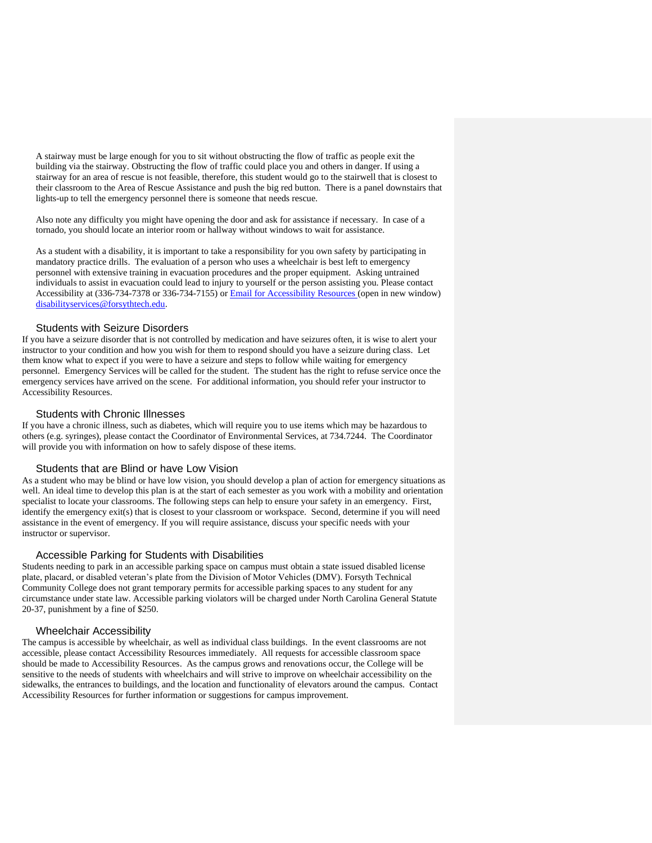A stairway must be large enough for you to sit without obstructing the flow of traffic as people exit the building via the stairway. Obstructing the flow of traffic could place you and others in danger. If using a stairway for an area of rescue is not feasible, therefore, this student would go to the stairwell that is closest to their classroom to the Area of Rescue Assistance and push the big red button. There is a panel downstairs that lights-up to tell the emergency personnel there is someone that needs rescue.

Also note any difficulty you might have opening the door and ask for assistance if necessary. In case of a tornado, you should locate an interior room or hallway without windows to wait for assistance.

As a student with a disability, it is important to take a responsibility for you own safety by participating in mandatory practice drills. The evaluation of a person who uses a wheelchair is best left to emergency personnel with extensive training in evacuation procedures and the proper equipment. Asking untrained individuals to assist in evacuation could lead to injury to yourself or the person assisting you. Please contact Accessibility at (336-734-7378 or 336-734-7155) or [Email for Accessibility Resources](mailto:Email%20for%20Disability%20Services) (open in new window) [disabilityservices@forsythtech.edu.](mailto:disabilityservices@forsythtech.edu)

#### Students with Seizure Disorders

<span id="page-26-0"></span>If you have a seizure disorder that is not controlled by medication and have seizures often, it is wise to alert your instructor to your condition and how you wish for them to respond should you have a seizure during class. Let them know what to expect if you were to have a seizure and steps to follow while waiting for emergency personnel. Emergency Services will be called for the student. The student has the right to refuse service once the emergency services have arrived on the scene. For additional information, you should refer your instructor to Accessibility Resources.

#### Students with Chronic Illnesses

<span id="page-26-1"></span>If you have a chronic illness, such as diabetes, which will require you to use items which may be hazardous to others (e.g. syringes), please contact the Coordinator of Environmental Services, at 734.7244. The Coordinator will provide you with information on how to safely dispose of these items.

## Students that are Blind or have Low Vision

<span id="page-26-2"></span>As a student who may be blind or have low vision, you should develop a plan of action for emergency situations as well. An ideal time to develop this plan is at the start of each semester as you work with a mobility and orientation specialist to locate your classrooms. The following steps can help to ensure your safety in an emergency. First, identify the emergency exit(s) that is closest to your classroom or workspace. Second, determine if you will need assistance in the event of emergency. If you will require assistance, discuss your specific needs with your instructor or supervisor.

#### Accessible Parking for Students with Disabilities

<span id="page-26-3"></span>Students needing to park in an accessible parking space on campus must obtain a state issued disabled license plate, placard, or disabled veteran's plate from the Division of Motor Vehicles (DMV). Forsyth Technical Community College does not grant temporary permits for accessible parking spaces to any student for any circumstance under state law. Accessible parking violators will be charged under North Carolina General Statute 20-37, punishment by a fine of \$250.

#### Wheelchair Accessibility

<span id="page-26-4"></span>The campus is accessible by wheelchair, as well as individual class buildings. In the event classrooms are not accessible, please contact Accessibility Resources immediately. All requests for accessible classroom space should be made to Accessibility Resources. As the campus grows and renovations occur, the College will be sensitive to the needs of students with wheelchairs and will strive to improve on wheelchair accessibility on the sidewalks, the entrances to buildings, and the location and functionality of elevators around the campus. Contact Accessibility Resources for further information or suggestions for campus improvement.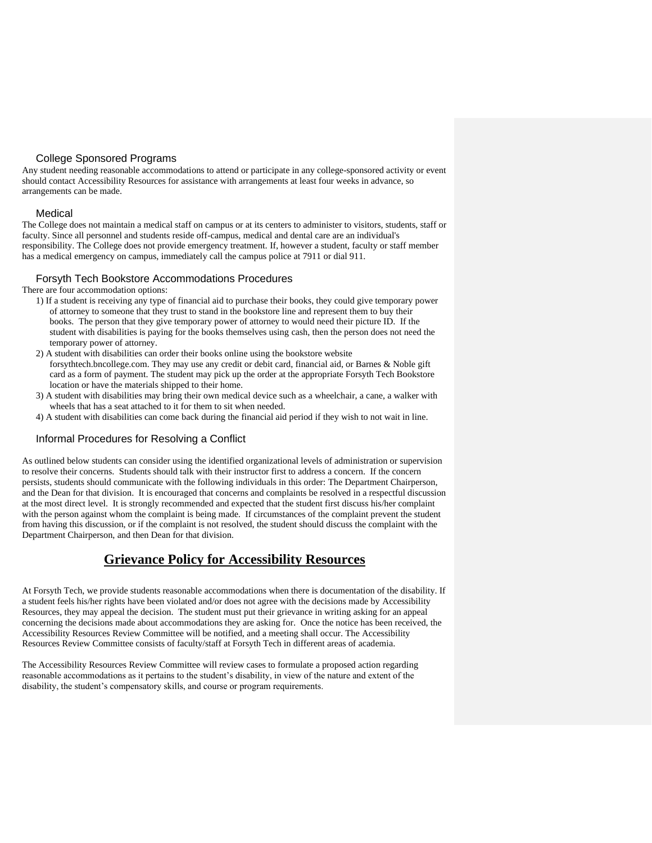# College Sponsored Programs

<span id="page-27-0"></span>Any student needing reasonable accommodations to attend or participate in any college-sponsored activity or event should contact Accessibility Resources for assistance with arrangements at least four weeks in advance, so arrangements can be made.

## <span id="page-27-1"></span>Medical

The College does not maintain a medical staff on campus or at its centers to administer to visitors, students, staff or faculty. Since all personnel and students reside off-campus, medical and dental care are an individual's responsibility. The College does not provide emergency treatment. If, however a student, faculty or staff member has a medical emergency on campus, immediately call the campus police at 7911 or dial 911.

# Forsyth Tech Bookstore Accommodations Procedures

<span id="page-27-2"></span>There are four accommodation options:

- 1) If a student is receiving any type of financial aid to purchase their books, they could give temporary power of attorney to someone that they trust to stand in the bookstore line and represent them to buy their books. The person that they give temporary power of attorney to would need their picture ID. If the student with disabilities is paying for the books themselves using cash, then the person does not need the temporary power of attorney.
- 2) A student with disabilities can order their books online using the bookstore website forsythtech.bncollege.com. They may use any credit or debit card, financial aid, or Barnes & Noble gift card as a form of payment. The student may pick up the order at the appropriate Forsyth Tech Bookstore location or have the materials shipped to their home.
- 3) A student with disabilities may bring their own medical device such as a wheelchair, a cane, a walker with wheels that has a seat attached to it for them to sit when needed.
- 4) A student with disabilities can come back during the financial aid period if they wish to not wait in line.

# <span id="page-27-3"></span>Informal Procedures for Resolving a Conflict

As outlined below students can consider using the identified organizational levels of administration or supervision to resolve their concerns. Students should talk with their instructor first to address a concern. If the concern persists, students should communicate with the following individuals in this order: The Department Chairperson, and the Dean for that division. It is encouraged that concerns and complaints be resolved in a respectful discussion at the most direct level. It is strongly recommended and expected that the student first discuss his/her complaint with the person against whom the complaint is being made. If circumstances of the complaint prevent the student from having this discussion, or if the complaint is not resolved, the student should discuss the complaint with the Department Chairperson, and then Dean for that division.

# **Grievance Policy for Accessibility Resources**

<span id="page-27-4"></span>At Forsyth Tech, we provide students reasonable accommodations when there is documentation of the disability. If a student feels his/her rights have been violated and/or does not agree with the decisions made by Accessibility Resources, they may appeal the decision. The student must put their grievance in writing asking for an appeal concerning the decisions made about accommodations they are asking for. Once the notice has been received, the Accessibility Resources Review Committee will be notified, and a meeting shall occur. The Accessibility Resources Review Committee consists of faculty/staff at Forsyth Tech in different areas of academia.

The Accessibility Resources Review Committee will review cases to formulate a proposed action regarding reasonable accommodations as it pertains to the student's disability, in view of the nature and extent of the disability, the student's compensatory skills, and course or program requirements.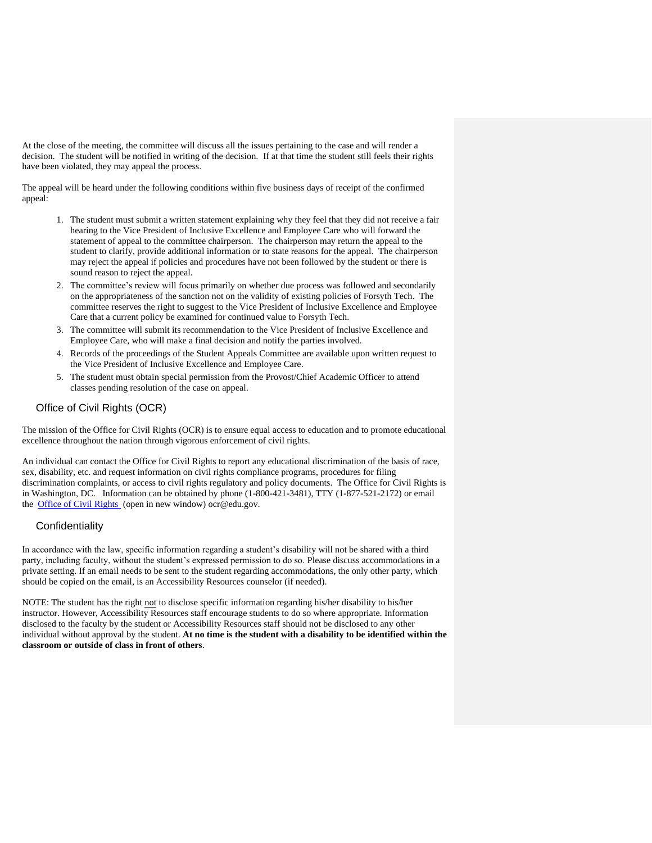At the close of the meeting, the committee will discuss all the issues pertaining to the case and will render a decision. The student will be notified in writing of the decision. If at that time the student still feels their rights have been violated, they may appeal the process.

The appeal will be heard under the following conditions within five business days of receipt of the confirmed appeal:

- 1. The student must submit a written statement explaining why they feel that they did not receive a fair hearing to the Vice President of Inclusive Excellence and Employee Care who will forward the statement of appeal to the committee chairperson. The chairperson may return the appeal to the student to clarify, provide additional information or to state reasons for the appeal. The chairperson may reject the appeal if policies and procedures have not been followed by the student or there is sound reason to reject the appeal.
- 2. The committee's review will focus primarily on whether due process was followed and secondarily on the appropriateness of the sanction not on the validity of existing policies of Forsyth Tech. The committee reserves the right to suggest to the Vice President of Inclusive Excellence and Employee Care that a current policy be examined for continued value to Forsyth Tech.
- 3. The committee will submit its recommendation to the Vice President of Inclusive Excellence and Employee Care, who will make a final decision and notify the parties involved.
- 4. Records of the proceedings of the Student Appeals Committee are available upon written request to the Vice President of Inclusive Excellence and Employee Care.
- 5. The student must obtain special permission from the Provost/Chief Academic Officer to attend classes pending resolution of the case on appeal.

# <span id="page-28-0"></span>Office of Civil Rights (OCR)

The mission of the Office for Civil Rights (OCR) is to ensure equal access to education and to promote educational excellence throughout the nation through vigorous enforcement of civil rights.

An individual can contact the Office for Civil Rights to report any educational discrimination of the basis of race, sex, disability, etc. and request information on civil rights compliance programs, procedures for filing discrimination complaints, or access to civil rights regulatory and policy documents. The Office for Civil Rights is in Washington, DC. Information can be obtained by phone (1-800-421-3481), TTY (1-877-521-2172) or email the **Office of Civil Rights** (open in new window) ocr@edu.gov.

## <span id="page-28-1"></span>**Confidentiality**

In accordance with the law, specific information regarding a student's disability will not be shared with a third party, including faculty, without the student's expressed permission to do so. Please discuss accommodations in a private setting. If an email needs to be sent to the student regarding accommodations, the only other party, which should be copied on the email, is an Accessibility Resources counselor (if needed).

NOTE: The student has the right not to disclose specific information regarding his/her disability to his/her instructor. However, Accessibility Resources staff encourage students to do so where appropriate. Information disclosed to the faculty by the student or Accessibility Resources staff should not be disclosed to any other individual without approval by the student. **At no time is the student with a disability to be identified within the classroom or outside of class in front of others**.